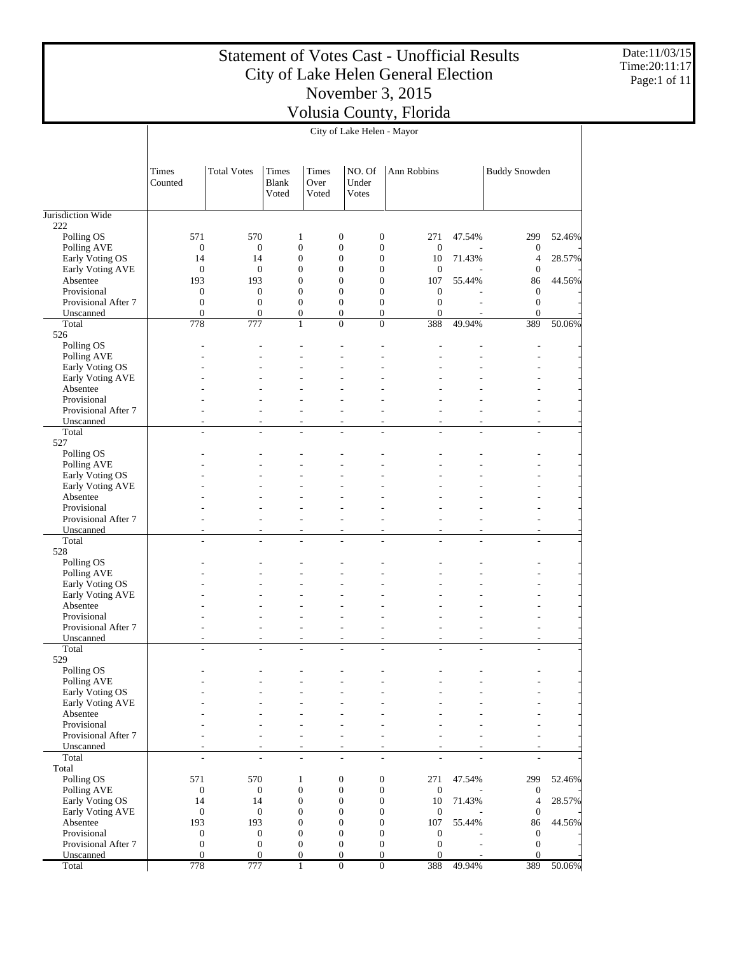Date:11/03/15 Time:20:11:17 Page:1 of 11

| <b>Total Votes</b><br>NO. Of<br><b>Buddy Snowden</b><br>Times<br><b>Times</b><br>Times<br>Ann Robbins<br>Counted<br>Blank<br>Over<br>Under<br>Voted<br>Voted<br>Votes<br>222<br>571<br>570<br>$\boldsymbol{0}$<br>$\boldsymbol{0}$<br>271<br>299<br>Polling OS<br>$\mathbf{1}$<br>47.54%<br>52.46%<br>$\boldsymbol{0}$<br>$\boldsymbol{0}$<br>$\boldsymbol{0}$<br>Polling AVE<br>$\boldsymbol{0}$<br>$\mathbf{0}$<br>$\boldsymbol{0}$<br>$\mathbf{0}$<br>$\mathbf{0}$<br>$\boldsymbol{0}$<br>Early Voting OS<br>14<br>14<br>$\boldsymbol{0}$<br>10<br>71.43%<br>$\overline{4}$<br>28.57%<br>$\boldsymbol{0}$<br>$\boldsymbol{0}$<br>Early Voting AVE<br>$\boldsymbol{0}$<br>$\boldsymbol{0}$<br>$\mathbf{0}$<br>$\boldsymbol{0}$<br>$\mathbf{0}$<br>$\mathbf{0}$<br>Absentee<br>193<br>193<br>$\mathbf{0}$<br>$\boldsymbol{0}$<br>107<br>55.44%<br>86<br>44.56%<br>$\boldsymbol{0}$<br>Provisional<br>$\boldsymbol{0}$<br>$\boldsymbol{0}$<br>$\mathbf{0}$<br>$\mathbf{0}$<br>$\boldsymbol{0}$<br>$\mathbf{0}$<br>$\boldsymbol{0}$<br>$\boldsymbol{0}$<br>$\mathbf{0}$<br>$\boldsymbol{0}$<br>$\mathbf{0}$<br>Provisional After 7<br>$\boldsymbol{0}$<br>$\boldsymbol{0}$<br>$\overline{0}$<br>$\boldsymbol{0}$<br>$\mathbf{0}$<br>$\mathbf{0}$<br>$\mathbf{0}$<br>$\boldsymbol{0}$<br>$\boldsymbol{0}$<br>Unscanned<br>Total<br>778<br>777<br>$\mathbf{0}$<br>388<br>49.94%<br>389<br>50.06%<br>$\mathbf{1}$<br>$\theta$<br>526<br>Polling OS<br>Polling AVE<br>Early Voting OS<br>Early Voting AVE<br>Absentee<br>Provisional<br>Provisional After 7<br>÷.<br>٠<br>٠<br>٠<br>٠<br>Unscanned<br>÷,<br>$\overline{a}$<br>÷,<br>÷,<br>÷,<br>$\overline{\phantom{a}}$<br>٠<br>$\overline{\phantom{a}}$<br>Total<br>÷.<br>÷,<br>÷,<br>÷.<br>÷,<br>÷<br>$\sim$<br>$\overline{a}$<br>527<br>Polling OS<br>Polling AVE<br>Early Voting OS<br>Early Voting AVE<br>Absentee<br>Provisional<br>Provisional After 7<br>٠<br>Unscanned<br>ä,<br>٠<br>$\overline{\phantom{a}}$<br>$\overline{\phantom{a}}$<br>$\overline{\phantom{a}}$<br>$\overline{\phantom{a}}$<br>$\overline{\phantom{a}}$<br>٠<br>Total<br>L.<br>L.<br>÷.<br>L.<br>÷<br>÷<br>÷<br>528<br>Polling OS<br>Polling AVE<br>Early Voting OS<br>Early Voting AVE<br>Absentee<br>Provisional<br>Provisional After 7<br>٠<br>ä,<br>$\overline{\phantom{a}}$<br>٠<br>٠<br>٠<br>Unscanned<br>÷,<br>÷,<br>÷,<br>٠<br>$\overline{\phantom{a}}$<br>÷<br>Total<br>L.<br>÷.<br>L.<br>÷,<br>٠<br>$\overline{\phantom{a}}$<br>÷,<br>529<br>Polling OS<br>Polling AVE<br>Early Voting OS<br>Early Voting AVE<br>Absentee<br>Provisional<br>Provisional After 7<br>۰<br>٠<br>Unscanned<br>٠<br>$\overline{\phantom{a}}$<br>÷<br>۰<br>٠<br>Total<br>÷,<br>L,<br>$\overline{a}$<br>÷,<br>÷,<br>ä,<br>÷<br>٠<br>Total<br>Polling OS<br>571<br>570<br>$\boldsymbol{0}$<br>$\boldsymbol{0}$<br>271<br>47.54%<br>299<br>52.46%<br>$\mathbf{1}$<br>$\boldsymbol{0}$<br>$\boldsymbol{0}$<br>$\boldsymbol{0}$<br>Polling AVE<br>$\boldsymbol{0}$<br>$\boldsymbol{0}$<br>$\mathbf{0}$<br>$\boldsymbol{0}$<br>$\boldsymbol{0}$<br>$\boldsymbol{0}$<br>Early Voting OS<br>14<br>14<br>$\boldsymbol{0}$<br>10<br>71.43%<br>$\overline{4}$<br>28.57%<br>$\boldsymbol{0}$<br>$\boldsymbol{0}$<br>Early Voting AVE<br>$\boldsymbol{0}$<br>$\boldsymbol{0}$<br>$\boldsymbol{0}$<br>$\mathbf{0}$<br>$\mathbf{0}$<br>Absentee<br>$\boldsymbol{0}$<br>193<br>193<br>$\mathbf{0}$<br>$\boldsymbol{0}$<br>107<br>55.44%<br>86<br>44.56%<br>$\mathbf{0}$<br>$\boldsymbol{0}$<br>$\boldsymbol{0}$<br>$\boldsymbol{0}$<br>Provisional<br>$\boldsymbol{0}$<br>$\boldsymbol{0}$<br>$\boldsymbol{0}$<br>$\boldsymbol{0}$<br>$\boldsymbol{0}$ |                     |                  |                  |                  | City of Lake Helen - Mayor |  |                  |  |
|-------------------------------------------------------------------------------------------------------------------------------------------------------------------------------------------------------------------------------------------------------------------------------------------------------------------------------------------------------------------------------------------------------------------------------------------------------------------------------------------------------------------------------------------------------------------------------------------------------------------------------------------------------------------------------------------------------------------------------------------------------------------------------------------------------------------------------------------------------------------------------------------------------------------------------------------------------------------------------------------------------------------------------------------------------------------------------------------------------------------------------------------------------------------------------------------------------------------------------------------------------------------------------------------------------------------------------------------------------------------------------------------------------------------------------------------------------------------------------------------------------------------------------------------------------------------------------------------------------------------------------------------------------------------------------------------------------------------------------------------------------------------------------------------------------------------------------------------------------------------------------------------------------------------------------------------------------------------------------------------------------------------------------------------------------------------------------------------------------------------------------------------------------------------------------------------------------------------------------------------------------------------------------------------------------------------------------------------------------------------------------------------------------------------------------------------------------------------------------------------------------------------------------------------------------------------------------------------------------------------------------------------------------------------------------------------------------------------------------------------------------------------------------------------------------------------------------------------------------------------------------------------------------------------------------------------------------------------------------------------------------------------------------------------------------------------------------------------------------------------------------------------------------------------------------------------------------------------------------------------------------------------------------------------------------------------------------------------------------------------------------------------------------------------------------------------------------------------------------------------------------------------------------------------------------------------------------------------------------------------------------------------------------|---------------------|------------------|------------------|------------------|----------------------------|--|------------------|--|
|                                                                                                                                                                                                                                                                                                                                                                                                                                                                                                                                                                                                                                                                                                                                                                                                                                                                                                                                                                                                                                                                                                                                                                                                                                                                                                                                                                                                                                                                                                                                                                                                                                                                                                                                                                                                                                                                                                                                                                                                                                                                                                                                                                                                                                                                                                                                                                                                                                                                                                                                                                                                                                                                                                                                                                                                                                                                                                                                                                                                                                                                                                                                                                                                                                                                                                                                                                                                                                                                                                                                                                                                                                                       |                     |                  |                  |                  |                            |  |                  |  |
|                                                                                                                                                                                                                                                                                                                                                                                                                                                                                                                                                                                                                                                                                                                                                                                                                                                                                                                                                                                                                                                                                                                                                                                                                                                                                                                                                                                                                                                                                                                                                                                                                                                                                                                                                                                                                                                                                                                                                                                                                                                                                                                                                                                                                                                                                                                                                                                                                                                                                                                                                                                                                                                                                                                                                                                                                                                                                                                                                                                                                                                                                                                                                                                                                                                                                                                                                                                                                                                                                                                                                                                                                                                       | Jurisdiction Wide   |                  |                  |                  |                            |  |                  |  |
|                                                                                                                                                                                                                                                                                                                                                                                                                                                                                                                                                                                                                                                                                                                                                                                                                                                                                                                                                                                                                                                                                                                                                                                                                                                                                                                                                                                                                                                                                                                                                                                                                                                                                                                                                                                                                                                                                                                                                                                                                                                                                                                                                                                                                                                                                                                                                                                                                                                                                                                                                                                                                                                                                                                                                                                                                                                                                                                                                                                                                                                                                                                                                                                                                                                                                                                                                                                                                                                                                                                                                                                                                                                       |                     |                  |                  |                  |                            |  |                  |  |
|                                                                                                                                                                                                                                                                                                                                                                                                                                                                                                                                                                                                                                                                                                                                                                                                                                                                                                                                                                                                                                                                                                                                                                                                                                                                                                                                                                                                                                                                                                                                                                                                                                                                                                                                                                                                                                                                                                                                                                                                                                                                                                                                                                                                                                                                                                                                                                                                                                                                                                                                                                                                                                                                                                                                                                                                                                                                                                                                                                                                                                                                                                                                                                                                                                                                                                                                                                                                                                                                                                                                                                                                                                                       |                     |                  |                  |                  |                            |  |                  |  |
|                                                                                                                                                                                                                                                                                                                                                                                                                                                                                                                                                                                                                                                                                                                                                                                                                                                                                                                                                                                                                                                                                                                                                                                                                                                                                                                                                                                                                                                                                                                                                                                                                                                                                                                                                                                                                                                                                                                                                                                                                                                                                                                                                                                                                                                                                                                                                                                                                                                                                                                                                                                                                                                                                                                                                                                                                                                                                                                                                                                                                                                                                                                                                                                                                                                                                                                                                                                                                                                                                                                                                                                                                                                       |                     |                  |                  |                  |                            |  |                  |  |
|                                                                                                                                                                                                                                                                                                                                                                                                                                                                                                                                                                                                                                                                                                                                                                                                                                                                                                                                                                                                                                                                                                                                                                                                                                                                                                                                                                                                                                                                                                                                                                                                                                                                                                                                                                                                                                                                                                                                                                                                                                                                                                                                                                                                                                                                                                                                                                                                                                                                                                                                                                                                                                                                                                                                                                                                                                                                                                                                                                                                                                                                                                                                                                                                                                                                                                                                                                                                                                                                                                                                                                                                                                                       |                     |                  |                  |                  |                            |  |                  |  |
|                                                                                                                                                                                                                                                                                                                                                                                                                                                                                                                                                                                                                                                                                                                                                                                                                                                                                                                                                                                                                                                                                                                                                                                                                                                                                                                                                                                                                                                                                                                                                                                                                                                                                                                                                                                                                                                                                                                                                                                                                                                                                                                                                                                                                                                                                                                                                                                                                                                                                                                                                                                                                                                                                                                                                                                                                                                                                                                                                                                                                                                                                                                                                                                                                                                                                                                                                                                                                                                                                                                                                                                                                                                       |                     |                  |                  |                  |                            |  |                  |  |
|                                                                                                                                                                                                                                                                                                                                                                                                                                                                                                                                                                                                                                                                                                                                                                                                                                                                                                                                                                                                                                                                                                                                                                                                                                                                                                                                                                                                                                                                                                                                                                                                                                                                                                                                                                                                                                                                                                                                                                                                                                                                                                                                                                                                                                                                                                                                                                                                                                                                                                                                                                                                                                                                                                                                                                                                                                                                                                                                                                                                                                                                                                                                                                                                                                                                                                                                                                                                                                                                                                                                                                                                                                                       |                     |                  |                  |                  |                            |  |                  |  |
|                                                                                                                                                                                                                                                                                                                                                                                                                                                                                                                                                                                                                                                                                                                                                                                                                                                                                                                                                                                                                                                                                                                                                                                                                                                                                                                                                                                                                                                                                                                                                                                                                                                                                                                                                                                                                                                                                                                                                                                                                                                                                                                                                                                                                                                                                                                                                                                                                                                                                                                                                                                                                                                                                                                                                                                                                                                                                                                                                                                                                                                                                                                                                                                                                                                                                                                                                                                                                                                                                                                                                                                                                                                       |                     |                  |                  |                  |                            |  |                  |  |
|                                                                                                                                                                                                                                                                                                                                                                                                                                                                                                                                                                                                                                                                                                                                                                                                                                                                                                                                                                                                                                                                                                                                                                                                                                                                                                                                                                                                                                                                                                                                                                                                                                                                                                                                                                                                                                                                                                                                                                                                                                                                                                                                                                                                                                                                                                                                                                                                                                                                                                                                                                                                                                                                                                                                                                                                                                                                                                                                                                                                                                                                                                                                                                                                                                                                                                                                                                                                                                                                                                                                                                                                                                                       |                     |                  |                  |                  |                            |  |                  |  |
|                                                                                                                                                                                                                                                                                                                                                                                                                                                                                                                                                                                                                                                                                                                                                                                                                                                                                                                                                                                                                                                                                                                                                                                                                                                                                                                                                                                                                                                                                                                                                                                                                                                                                                                                                                                                                                                                                                                                                                                                                                                                                                                                                                                                                                                                                                                                                                                                                                                                                                                                                                                                                                                                                                                                                                                                                                                                                                                                                                                                                                                                                                                                                                                                                                                                                                                                                                                                                                                                                                                                                                                                                                                       |                     |                  |                  |                  |                            |  |                  |  |
|                                                                                                                                                                                                                                                                                                                                                                                                                                                                                                                                                                                                                                                                                                                                                                                                                                                                                                                                                                                                                                                                                                                                                                                                                                                                                                                                                                                                                                                                                                                                                                                                                                                                                                                                                                                                                                                                                                                                                                                                                                                                                                                                                                                                                                                                                                                                                                                                                                                                                                                                                                                                                                                                                                                                                                                                                                                                                                                                                                                                                                                                                                                                                                                                                                                                                                                                                                                                                                                                                                                                                                                                                                                       |                     |                  |                  |                  |                            |  |                  |  |
|                                                                                                                                                                                                                                                                                                                                                                                                                                                                                                                                                                                                                                                                                                                                                                                                                                                                                                                                                                                                                                                                                                                                                                                                                                                                                                                                                                                                                                                                                                                                                                                                                                                                                                                                                                                                                                                                                                                                                                                                                                                                                                                                                                                                                                                                                                                                                                                                                                                                                                                                                                                                                                                                                                                                                                                                                                                                                                                                                                                                                                                                                                                                                                                                                                                                                                                                                                                                                                                                                                                                                                                                                                                       |                     |                  |                  |                  |                            |  |                  |  |
|                                                                                                                                                                                                                                                                                                                                                                                                                                                                                                                                                                                                                                                                                                                                                                                                                                                                                                                                                                                                                                                                                                                                                                                                                                                                                                                                                                                                                                                                                                                                                                                                                                                                                                                                                                                                                                                                                                                                                                                                                                                                                                                                                                                                                                                                                                                                                                                                                                                                                                                                                                                                                                                                                                                                                                                                                                                                                                                                                                                                                                                                                                                                                                                                                                                                                                                                                                                                                                                                                                                                                                                                                                                       |                     |                  |                  |                  |                            |  |                  |  |
|                                                                                                                                                                                                                                                                                                                                                                                                                                                                                                                                                                                                                                                                                                                                                                                                                                                                                                                                                                                                                                                                                                                                                                                                                                                                                                                                                                                                                                                                                                                                                                                                                                                                                                                                                                                                                                                                                                                                                                                                                                                                                                                                                                                                                                                                                                                                                                                                                                                                                                                                                                                                                                                                                                                                                                                                                                                                                                                                                                                                                                                                                                                                                                                                                                                                                                                                                                                                                                                                                                                                                                                                                                                       |                     |                  |                  |                  |                            |  |                  |  |
|                                                                                                                                                                                                                                                                                                                                                                                                                                                                                                                                                                                                                                                                                                                                                                                                                                                                                                                                                                                                                                                                                                                                                                                                                                                                                                                                                                                                                                                                                                                                                                                                                                                                                                                                                                                                                                                                                                                                                                                                                                                                                                                                                                                                                                                                                                                                                                                                                                                                                                                                                                                                                                                                                                                                                                                                                                                                                                                                                                                                                                                                                                                                                                                                                                                                                                                                                                                                                                                                                                                                                                                                                                                       |                     |                  |                  |                  |                            |  |                  |  |
|                                                                                                                                                                                                                                                                                                                                                                                                                                                                                                                                                                                                                                                                                                                                                                                                                                                                                                                                                                                                                                                                                                                                                                                                                                                                                                                                                                                                                                                                                                                                                                                                                                                                                                                                                                                                                                                                                                                                                                                                                                                                                                                                                                                                                                                                                                                                                                                                                                                                                                                                                                                                                                                                                                                                                                                                                                                                                                                                                                                                                                                                                                                                                                                                                                                                                                                                                                                                                                                                                                                                                                                                                                                       |                     |                  |                  |                  |                            |  |                  |  |
|                                                                                                                                                                                                                                                                                                                                                                                                                                                                                                                                                                                                                                                                                                                                                                                                                                                                                                                                                                                                                                                                                                                                                                                                                                                                                                                                                                                                                                                                                                                                                                                                                                                                                                                                                                                                                                                                                                                                                                                                                                                                                                                                                                                                                                                                                                                                                                                                                                                                                                                                                                                                                                                                                                                                                                                                                                                                                                                                                                                                                                                                                                                                                                                                                                                                                                                                                                                                                                                                                                                                                                                                                                                       |                     |                  |                  |                  |                            |  |                  |  |
|                                                                                                                                                                                                                                                                                                                                                                                                                                                                                                                                                                                                                                                                                                                                                                                                                                                                                                                                                                                                                                                                                                                                                                                                                                                                                                                                                                                                                                                                                                                                                                                                                                                                                                                                                                                                                                                                                                                                                                                                                                                                                                                                                                                                                                                                                                                                                                                                                                                                                                                                                                                                                                                                                                                                                                                                                                                                                                                                                                                                                                                                                                                                                                                                                                                                                                                                                                                                                                                                                                                                                                                                                                                       |                     |                  |                  |                  |                            |  |                  |  |
|                                                                                                                                                                                                                                                                                                                                                                                                                                                                                                                                                                                                                                                                                                                                                                                                                                                                                                                                                                                                                                                                                                                                                                                                                                                                                                                                                                                                                                                                                                                                                                                                                                                                                                                                                                                                                                                                                                                                                                                                                                                                                                                                                                                                                                                                                                                                                                                                                                                                                                                                                                                                                                                                                                                                                                                                                                                                                                                                                                                                                                                                                                                                                                                                                                                                                                                                                                                                                                                                                                                                                                                                                                                       |                     |                  |                  |                  |                            |  |                  |  |
|                                                                                                                                                                                                                                                                                                                                                                                                                                                                                                                                                                                                                                                                                                                                                                                                                                                                                                                                                                                                                                                                                                                                                                                                                                                                                                                                                                                                                                                                                                                                                                                                                                                                                                                                                                                                                                                                                                                                                                                                                                                                                                                                                                                                                                                                                                                                                                                                                                                                                                                                                                                                                                                                                                                                                                                                                                                                                                                                                                                                                                                                                                                                                                                                                                                                                                                                                                                                                                                                                                                                                                                                                                                       |                     |                  |                  |                  |                            |  |                  |  |
|                                                                                                                                                                                                                                                                                                                                                                                                                                                                                                                                                                                                                                                                                                                                                                                                                                                                                                                                                                                                                                                                                                                                                                                                                                                                                                                                                                                                                                                                                                                                                                                                                                                                                                                                                                                                                                                                                                                                                                                                                                                                                                                                                                                                                                                                                                                                                                                                                                                                                                                                                                                                                                                                                                                                                                                                                                                                                                                                                                                                                                                                                                                                                                                                                                                                                                                                                                                                                                                                                                                                                                                                                                                       |                     |                  |                  |                  |                            |  |                  |  |
|                                                                                                                                                                                                                                                                                                                                                                                                                                                                                                                                                                                                                                                                                                                                                                                                                                                                                                                                                                                                                                                                                                                                                                                                                                                                                                                                                                                                                                                                                                                                                                                                                                                                                                                                                                                                                                                                                                                                                                                                                                                                                                                                                                                                                                                                                                                                                                                                                                                                                                                                                                                                                                                                                                                                                                                                                                                                                                                                                                                                                                                                                                                                                                                                                                                                                                                                                                                                                                                                                                                                                                                                                                                       |                     |                  |                  |                  |                            |  |                  |  |
|                                                                                                                                                                                                                                                                                                                                                                                                                                                                                                                                                                                                                                                                                                                                                                                                                                                                                                                                                                                                                                                                                                                                                                                                                                                                                                                                                                                                                                                                                                                                                                                                                                                                                                                                                                                                                                                                                                                                                                                                                                                                                                                                                                                                                                                                                                                                                                                                                                                                                                                                                                                                                                                                                                                                                                                                                                                                                                                                                                                                                                                                                                                                                                                                                                                                                                                                                                                                                                                                                                                                                                                                                                                       |                     |                  |                  |                  |                            |  |                  |  |
|                                                                                                                                                                                                                                                                                                                                                                                                                                                                                                                                                                                                                                                                                                                                                                                                                                                                                                                                                                                                                                                                                                                                                                                                                                                                                                                                                                                                                                                                                                                                                                                                                                                                                                                                                                                                                                                                                                                                                                                                                                                                                                                                                                                                                                                                                                                                                                                                                                                                                                                                                                                                                                                                                                                                                                                                                                                                                                                                                                                                                                                                                                                                                                                                                                                                                                                                                                                                                                                                                                                                                                                                                                                       |                     |                  |                  |                  |                            |  |                  |  |
|                                                                                                                                                                                                                                                                                                                                                                                                                                                                                                                                                                                                                                                                                                                                                                                                                                                                                                                                                                                                                                                                                                                                                                                                                                                                                                                                                                                                                                                                                                                                                                                                                                                                                                                                                                                                                                                                                                                                                                                                                                                                                                                                                                                                                                                                                                                                                                                                                                                                                                                                                                                                                                                                                                                                                                                                                                                                                                                                                                                                                                                                                                                                                                                                                                                                                                                                                                                                                                                                                                                                                                                                                                                       |                     |                  |                  |                  |                            |  |                  |  |
|                                                                                                                                                                                                                                                                                                                                                                                                                                                                                                                                                                                                                                                                                                                                                                                                                                                                                                                                                                                                                                                                                                                                                                                                                                                                                                                                                                                                                                                                                                                                                                                                                                                                                                                                                                                                                                                                                                                                                                                                                                                                                                                                                                                                                                                                                                                                                                                                                                                                                                                                                                                                                                                                                                                                                                                                                                                                                                                                                                                                                                                                                                                                                                                                                                                                                                                                                                                                                                                                                                                                                                                                                                                       |                     |                  |                  |                  |                            |  |                  |  |
|                                                                                                                                                                                                                                                                                                                                                                                                                                                                                                                                                                                                                                                                                                                                                                                                                                                                                                                                                                                                                                                                                                                                                                                                                                                                                                                                                                                                                                                                                                                                                                                                                                                                                                                                                                                                                                                                                                                                                                                                                                                                                                                                                                                                                                                                                                                                                                                                                                                                                                                                                                                                                                                                                                                                                                                                                                                                                                                                                                                                                                                                                                                                                                                                                                                                                                                                                                                                                                                                                                                                                                                                                                                       |                     |                  |                  |                  |                            |  |                  |  |
|                                                                                                                                                                                                                                                                                                                                                                                                                                                                                                                                                                                                                                                                                                                                                                                                                                                                                                                                                                                                                                                                                                                                                                                                                                                                                                                                                                                                                                                                                                                                                                                                                                                                                                                                                                                                                                                                                                                                                                                                                                                                                                                                                                                                                                                                                                                                                                                                                                                                                                                                                                                                                                                                                                                                                                                                                                                                                                                                                                                                                                                                                                                                                                                                                                                                                                                                                                                                                                                                                                                                                                                                                                                       |                     |                  |                  |                  |                            |  |                  |  |
|                                                                                                                                                                                                                                                                                                                                                                                                                                                                                                                                                                                                                                                                                                                                                                                                                                                                                                                                                                                                                                                                                                                                                                                                                                                                                                                                                                                                                                                                                                                                                                                                                                                                                                                                                                                                                                                                                                                                                                                                                                                                                                                                                                                                                                                                                                                                                                                                                                                                                                                                                                                                                                                                                                                                                                                                                                                                                                                                                                                                                                                                                                                                                                                                                                                                                                                                                                                                                                                                                                                                                                                                                                                       |                     |                  |                  |                  |                            |  |                  |  |
|                                                                                                                                                                                                                                                                                                                                                                                                                                                                                                                                                                                                                                                                                                                                                                                                                                                                                                                                                                                                                                                                                                                                                                                                                                                                                                                                                                                                                                                                                                                                                                                                                                                                                                                                                                                                                                                                                                                                                                                                                                                                                                                                                                                                                                                                                                                                                                                                                                                                                                                                                                                                                                                                                                                                                                                                                                                                                                                                                                                                                                                                                                                                                                                                                                                                                                                                                                                                                                                                                                                                                                                                                                                       |                     |                  |                  |                  |                            |  |                  |  |
|                                                                                                                                                                                                                                                                                                                                                                                                                                                                                                                                                                                                                                                                                                                                                                                                                                                                                                                                                                                                                                                                                                                                                                                                                                                                                                                                                                                                                                                                                                                                                                                                                                                                                                                                                                                                                                                                                                                                                                                                                                                                                                                                                                                                                                                                                                                                                                                                                                                                                                                                                                                                                                                                                                                                                                                                                                                                                                                                                                                                                                                                                                                                                                                                                                                                                                                                                                                                                                                                                                                                                                                                                                                       |                     |                  |                  |                  |                            |  |                  |  |
|                                                                                                                                                                                                                                                                                                                                                                                                                                                                                                                                                                                                                                                                                                                                                                                                                                                                                                                                                                                                                                                                                                                                                                                                                                                                                                                                                                                                                                                                                                                                                                                                                                                                                                                                                                                                                                                                                                                                                                                                                                                                                                                                                                                                                                                                                                                                                                                                                                                                                                                                                                                                                                                                                                                                                                                                                                                                                                                                                                                                                                                                                                                                                                                                                                                                                                                                                                                                                                                                                                                                                                                                                                                       |                     |                  |                  |                  |                            |  |                  |  |
|                                                                                                                                                                                                                                                                                                                                                                                                                                                                                                                                                                                                                                                                                                                                                                                                                                                                                                                                                                                                                                                                                                                                                                                                                                                                                                                                                                                                                                                                                                                                                                                                                                                                                                                                                                                                                                                                                                                                                                                                                                                                                                                                                                                                                                                                                                                                                                                                                                                                                                                                                                                                                                                                                                                                                                                                                                                                                                                                                                                                                                                                                                                                                                                                                                                                                                                                                                                                                                                                                                                                                                                                                                                       |                     |                  |                  |                  |                            |  |                  |  |
|                                                                                                                                                                                                                                                                                                                                                                                                                                                                                                                                                                                                                                                                                                                                                                                                                                                                                                                                                                                                                                                                                                                                                                                                                                                                                                                                                                                                                                                                                                                                                                                                                                                                                                                                                                                                                                                                                                                                                                                                                                                                                                                                                                                                                                                                                                                                                                                                                                                                                                                                                                                                                                                                                                                                                                                                                                                                                                                                                                                                                                                                                                                                                                                                                                                                                                                                                                                                                                                                                                                                                                                                                                                       |                     |                  |                  |                  |                            |  |                  |  |
|                                                                                                                                                                                                                                                                                                                                                                                                                                                                                                                                                                                                                                                                                                                                                                                                                                                                                                                                                                                                                                                                                                                                                                                                                                                                                                                                                                                                                                                                                                                                                                                                                                                                                                                                                                                                                                                                                                                                                                                                                                                                                                                                                                                                                                                                                                                                                                                                                                                                                                                                                                                                                                                                                                                                                                                                                                                                                                                                                                                                                                                                                                                                                                                                                                                                                                                                                                                                                                                                                                                                                                                                                                                       |                     |                  |                  |                  |                            |  |                  |  |
|                                                                                                                                                                                                                                                                                                                                                                                                                                                                                                                                                                                                                                                                                                                                                                                                                                                                                                                                                                                                                                                                                                                                                                                                                                                                                                                                                                                                                                                                                                                                                                                                                                                                                                                                                                                                                                                                                                                                                                                                                                                                                                                                                                                                                                                                                                                                                                                                                                                                                                                                                                                                                                                                                                                                                                                                                                                                                                                                                                                                                                                                                                                                                                                                                                                                                                                                                                                                                                                                                                                                                                                                                                                       |                     |                  |                  |                  |                            |  |                  |  |
|                                                                                                                                                                                                                                                                                                                                                                                                                                                                                                                                                                                                                                                                                                                                                                                                                                                                                                                                                                                                                                                                                                                                                                                                                                                                                                                                                                                                                                                                                                                                                                                                                                                                                                                                                                                                                                                                                                                                                                                                                                                                                                                                                                                                                                                                                                                                                                                                                                                                                                                                                                                                                                                                                                                                                                                                                                                                                                                                                                                                                                                                                                                                                                                                                                                                                                                                                                                                                                                                                                                                                                                                                                                       |                     |                  |                  |                  |                            |  |                  |  |
|                                                                                                                                                                                                                                                                                                                                                                                                                                                                                                                                                                                                                                                                                                                                                                                                                                                                                                                                                                                                                                                                                                                                                                                                                                                                                                                                                                                                                                                                                                                                                                                                                                                                                                                                                                                                                                                                                                                                                                                                                                                                                                                                                                                                                                                                                                                                                                                                                                                                                                                                                                                                                                                                                                                                                                                                                                                                                                                                                                                                                                                                                                                                                                                                                                                                                                                                                                                                                                                                                                                                                                                                                                                       |                     |                  |                  |                  |                            |  |                  |  |
|                                                                                                                                                                                                                                                                                                                                                                                                                                                                                                                                                                                                                                                                                                                                                                                                                                                                                                                                                                                                                                                                                                                                                                                                                                                                                                                                                                                                                                                                                                                                                                                                                                                                                                                                                                                                                                                                                                                                                                                                                                                                                                                                                                                                                                                                                                                                                                                                                                                                                                                                                                                                                                                                                                                                                                                                                                                                                                                                                                                                                                                                                                                                                                                                                                                                                                                                                                                                                                                                                                                                                                                                                                                       |                     |                  |                  |                  |                            |  |                  |  |
|                                                                                                                                                                                                                                                                                                                                                                                                                                                                                                                                                                                                                                                                                                                                                                                                                                                                                                                                                                                                                                                                                                                                                                                                                                                                                                                                                                                                                                                                                                                                                                                                                                                                                                                                                                                                                                                                                                                                                                                                                                                                                                                                                                                                                                                                                                                                                                                                                                                                                                                                                                                                                                                                                                                                                                                                                                                                                                                                                                                                                                                                                                                                                                                                                                                                                                                                                                                                                                                                                                                                                                                                                                                       |                     |                  |                  |                  |                            |  |                  |  |
|                                                                                                                                                                                                                                                                                                                                                                                                                                                                                                                                                                                                                                                                                                                                                                                                                                                                                                                                                                                                                                                                                                                                                                                                                                                                                                                                                                                                                                                                                                                                                                                                                                                                                                                                                                                                                                                                                                                                                                                                                                                                                                                                                                                                                                                                                                                                                                                                                                                                                                                                                                                                                                                                                                                                                                                                                                                                                                                                                                                                                                                                                                                                                                                                                                                                                                                                                                                                                                                                                                                                                                                                                                                       |                     |                  |                  |                  |                            |  |                  |  |
|                                                                                                                                                                                                                                                                                                                                                                                                                                                                                                                                                                                                                                                                                                                                                                                                                                                                                                                                                                                                                                                                                                                                                                                                                                                                                                                                                                                                                                                                                                                                                                                                                                                                                                                                                                                                                                                                                                                                                                                                                                                                                                                                                                                                                                                                                                                                                                                                                                                                                                                                                                                                                                                                                                                                                                                                                                                                                                                                                                                                                                                                                                                                                                                                                                                                                                                                                                                                                                                                                                                                                                                                                                                       |                     |                  |                  |                  |                            |  |                  |  |
|                                                                                                                                                                                                                                                                                                                                                                                                                                                                                                                                                                                                                                                                                                                                                                                                                                                                                                                                                                                                                                                                                                                                                                                                                                                                                                                                                                                                                                                                                                                                                                                                                                                                                                                                                                                                                                                                                                                                                                                                                                                                                                                                                                                                                                                                                                                                                                                                                                                                                                                                                                                                                                                                                                                                                                                                                                                                                                                                                                                                                                                                                                                                                                                                                                                                                                                                                                                                                                                                                                                                                                                                                                                       |                     |                  |                  |                  |                            |  |                  |  |
|                                                                                                                                                                                                                                                                                                                                                                                                                                                                                                                                                                                                                                                                                                                                                                                                                                                                                                                                                                                                                                                                                                                                                                                                                                                                                                                                                                                                                                                                                                                                                                                                                                                                                                                                                                                                                                                                                                                                                                                                                                                                                                                                                                                                                                                                                                                                                                                                                                                                                                                                                                                                                                                                                                                                                                                                                                                                                                                                                                                                                                                                                                                                                                                                                                                                                                                                                                                                                                                                                                                                                                                                                                                       |                     |                  |                  |                  |                            |  |                  |  |
|                                                                                                                                                                                                                                                                                                                                                                                                                                                                                                                                                                                                                                                                                                                                                                                                                                                                                                                                                                                                                                                                                                                                                                                                                                                                                                                                                                                                                                                                                                                                                                                                                                                                                                                                                                                                                                                                                                                                                                                                                                                                                                                                                                                                                                                                                                                                                                                                                                                                                                                                                                                                                                                                                                                                                                                                                                                                                                                                                                                                                                                                                                                                                                                                                                                                                                                                                                                                                                                                                                                                                                                                                                                       |                     |                  |                  |                  |                            |  |                  |  |
|                                                                                                                                                                                                                                                                                                                                                                                                                                                                                                                                                                                                                                                                                                                                                                                                                                                                                                                                                                                                                                                                                                                                                                                                                                                                                                                                                                                                                                                                                                                                                                                                                                                                                                                                                                                                                                                                                                                                                                                                                                                                                                                                                                                                                                                                                                                                                                                                                                                                                                                                                                                                                                                                                                                                                                                                                                                                                                                                                                                                                                                                                                                                                                                                                                                                                                                                                                                                                                                                                                                                                                                                                                                       |                     |                  |                  |                  |                            |  |                  |  |
|                                                                                                                                                                                                                                                                                                                                                                                                                                                                                                                                                                                                                                                                                                                                                                                                                                                                                                                                                                                                                                                                                                                                                                                                                                                                                                                                                                                                                                                                                                                                                                                                                                                                                                                                                                                                                                                                                                                                                                                                                                                                                                                                                                                                                                                                                                                                                                                                                                                                                                                                                                                                                                                                                                                                                                                                                                                                                                                                                                                                                                                                                                                                                                                                                                                                                                                                                                                                                                                                                                                                                                                                                                                       |                     |                  |                  |                  |                            |  |                  |  |
|                                                                                                                                                                                                                                                                                                                                                                                                                                                                                                                                                                                                                                                                                                                                                                                                                                                                                                                                                                                                                                                                                                                                                                                                                                                                                                                                                                                                                                                                                                                                                                                                                                                                                                                                                                                                                                                                                                                                                                                                                                                                                                                                                                                                                                                                                                                                                                                                                                                                                                                                                                                                                                                                                                                                                                                                                                                                                                                                                                                                                                                                                                                                                                                                                                                                                                                                                                                                                                                                                                                                                                                                                                                       |                     |                  |                  |                  |                            |  |                  |  |
|                                                                                                                                                                                                                                                                                                                                                                                                                                                                                                                                                                                                                                                                                                                                                                                                                                                                                                                                                                                                                                                                                                                                                                                                                                                                                                                                                                                                                                                                                                                                                                                                                                                                                                                                                                                                                                                                                                                                                                                                                                                                                                                                                                                                                                                                                                                                                                                                                                                                                                                                                                                                                                                                                                                                                                                                                                                                                                                                                                                                                                                                                                                                                                                                                                                                                                                                                                                                                                                                                                                                                                                                                                                       |                     |                  |                  |                  |                            |  |                  |  |
|                                                                                                                                                                                                                                                                                                                                                                                                                                                                                                                                                                                                                                                                                                                                                                                                                                                                                                                                                                                                                                                                                                                                                                                                                                                                                                                                                                                                                                                                                                                                                                                                                                                                                                                                                                                                                                                                                                                                                                                                                                                                                                                                                                                                                                                                                                                                                                                                                                                                                                                                                                                                                                                                                                                                                                                                                                                                                                                                                                                                                                                                                                                                                                                                                                                                                                                                                                                                                                                                                                                                                                                                                                                       | Provisional After 7 | $\boldsymbol{0}$ | $\boldsymbol{0}$ | $\boldsymbol{0}$ | $\boldsymbol{0}$           |  | $\boldsymbol{0}$ |  |
| $\overline{0}$<br>$\mathbf{0}$<br>$\boldsymbol{0}$<br>$\boldsymbol{0}$<br>$\boldsymbol{0}$<br>$\mathbf{0}$<br>$\mathbf{0}$<br>Unscanned<br>49.94%<br>778<br>777<br>$\boldsymbol{0}$<br>$\overline{0}$<br>388<br>389<br>50.06%<br>Total<br>$\mathbf{1}$                                                                                                                                                                                                                                                                                                                                                                                                                                                                                                                                                                                                                                                                                                                                                                                                                                                                                                                                                                                                                                                                                                                                                                                                                                                                                                                                                                                                                                                                                                                                                                                                                                                                                                                                                                                                                                                                                                                                                                                                                                                                                                                                                                                                                                                                                                                                                                                                                                                                                                                                                                                                                                                                                                                                                                                                                                                                                                                                                                                                                                                                                                                                                                                                                                                                                                                                                                                                |                     |                  |                  |                  |                            |  |                  |  |

 $\mathbf{I}$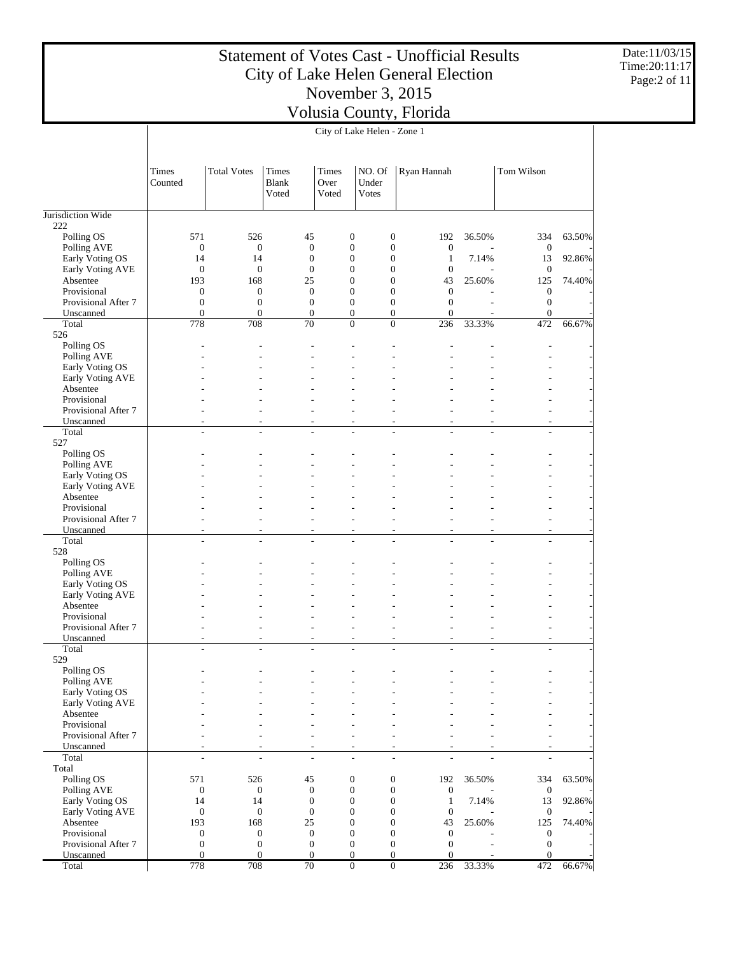Date:11/03/15 Time:20:11:17 Page:2 of 11

|                                     |                                      |                         |                                            |                                      | City of Lake Helen - Zone 1                |                                      |                                  |                                  |        |
|-------------------------------------|--------------------------------------|-------------------------|--------------------------------------------|--------------------------------------|--------------------------------------------|--------------------------------------|----------------------------------|----------------------------------|--------|
|                                     | Times<br>Counted                     | <b>Total Votes</b>      | Times<br><b>Blank</b><br>Voted             | Times<br>Over<br>Voted               | NO. Of<br>Under<br><b>Votes</b>            | Ryan Hannah                          |                                  | Tom Wilson                       |        |
| Jurisdiction Wide                   |                                      |                         |                                            |                                      |                                            |                                      |                                  |                                  |        |
| 222<br>Polling OS                   | 571                                  | 526                     | 45                                         | $\boldsymbol{0}$                     | $\boldsymbol{0}$                           | 192                                  | 36.50%                           | 334                              | 63.50% |
| Polling AVE                         | $\boldsymbol{0}$                     | $\boldsymbol{0}$        | $\boldsymbol{0}$                           | $\boldsymbol{0}$                     | $\boldsymbol{0}$                           | $\boldsymbol{0}$                     |                                  | $\mathbf{0}$                     |        |
| Early Voting OS                     | 14                                   | 14                      | $\boldsymbol{0}$                           | $\boldsymbol{0}$                     | $\boldsymbol{0}$                           | $\mathbf{1}$                         | 7.14%                            | 13                               | 92.86% |
| Early Voting AVE                    | $\boldsymbol{0}$                     | $\boldsymbol{0}$        | $\boldsymbol{0}$                           | $\overline{0}$                       | $\boldsymbol{0}$                           | $\mathbf{0}$                         |                                  | $\mathbf{0}$                     |        |
| Absentee<br>Provisional             | 193<br>$\boldsymbol{0}$              | 168<br>$\boldsymbol{0}$ | 25<br>$\boldsymbol{0}$                     | $\boldsymbol{0}$<br>$\boldsymbol{0}$ | $\boldsymbol{0}$<br>$\boldsymbol{0}$       | 43<br>$\boldsymbol{0}$               | 25.60%                           | 125<br>$\mathbf{0}$              | 74.40% |
| Provisional After 7                 | $\boldsymbol{0}$                     | $\boldsymbol{0}$        | $\boldsymbol{0}$                           | $\boldsymbol{0}$                     | $\mathbf{0}$                               | $\mathbf{0}$                         |                                  | $\mathbf{0}$                     |        |
| Unscanned                           | $\mathbf{0}$                         | $\boldsymbol{0}$        | $\boldsymbol{0}$                           | $\boldsymbol{0}$                     | $\boldsymbol{0}$                           | $\mathbf{0}$                         |                                  | $\mathbf{0}$                     |        |
| Total                               | 778                                  | 708                     | 70                                         | $\overline{0}$                       | $\overline{0}$                             | 236                                  | 33.33%                           | 472                              | 66.67% |
| 526<br>Polling OS                   |                                      |                         |                                            |                                      |                                            |                                      |                                  |                                  |        |
| Polling AVE                         |                                      |                         |                                            |                                      | ÷,                                         |                                      |                                  |                                  |        |
| Early Voting OS                     |                                      |                         |                                            |                                      |                                            |                                      |                                  |                                  |        |
| Early Voting AVE                    |                                      |                         |                                            |                                      |                                            |                                      |                                  |                                  |        |
| Absentee                            |                                      |                         |                                            |                                      |                                            |                                      |                                  |                                  |        |
| Provisional<br>Provisional After 7  |                                      |                         | $\overline{a}$                             | L,                                   | $\overline{\phantom{a}}$                   |                                      |                                  | $\overline{a}$                   |        |
| Unscanned                           | ÷,                                   |                         | $\overline{\phantom{a}}$                   | $\overline{a}$                       | $\sim$                                     | $\sim$                               | $\overline{\phantom{a}}$         | $\overline{a}$                   |        |
| Total                               | L,                                   | $\overline{a}$          | ÷                                          | $\overline{\phantom{a}}$             | $\sim$                                     | $\overline{a}$                       | $\overline{a}$                   | $\overline{\phantom{a}}$         |        |
| 527                                 |                                      |                         |                                            |                                      |                                            |                                      |                                  |                                  |        |
| Polling OS                          |                                      |                         |                                            |                                      |                                            |                                      |                                  |                                  |        |
| Polling AVE<br>Early Voting OS      |                                      |                         |                                            |                                      |                                            |                                      |                                  |                                  |        |
| Early Voting AVE                    |                                      |                         |                                            |                                      |                                            |                                      |                                  |                                  |        |
| Absentee                            |                                      |                         |                                            |                                      |                                            |                                      |                                  |                                  |        |
| Provisional                         |                                      |                         |                                            |                                      |                                            |                                      |                                  |                                  |        |
| Provisional After 7<br>Unscanned    |                                      | $\sim$                  |                                            |                                      | $\overline{a}$<br>$\sim$                   | $\overline{\phantom{a}}$             |                                  | $\overline{a}$                   |        |
| Total                               | $\overline{\phantom{a}}$<br>÷,       | ÷                       | $\overline{\phantom{a}}$<br>$\overline{a}$ | $\overline{\phantom{a}}$<br>L,       | $\sim$                                     |                                      | $\overline{\phantom{a}}$<br>÷,   | $\overline{a}$                   |        |
| 528                                 |                                      |                         |                                            |                                      |                                            |                                      |                                  |                                  |        |
| Polling OS                          |                                      |                         |                                            |                                      |                                            |                                      |                                  |                                  |        |
| Polling AVE                         |                                      |                         |                                            |                                      |                                            |                                      |                                  |                                  |        |
| Early Voting OS<br>Early Voting AVE |                                      |                         |                                            |                                      |                                            |                                      |                                  |                                  |        |
| Absentee                            |                                      |                         |                                            |                                      |                                            |                                      |                                  |                                  |        |
| Provisional                         |                                      |                         |                                            |                                      |                                            |                                      |                                  |                                  |        |
| Provisional After 7                 |                                      |                         | $\overline{a}$                             | $\overline{\phantom{a}}$             | $\overline{\phantom{a}}$                   | $\overline{\phantom{a}}$             |                                  | $\overline{a}$                   |        |
| Unscanned<br>Total                  | $\overline{a}$<br>÷                  | $\overline{a}$          | $\overline{a}$<br>÷                        | L,<br>$\overline{a}$                 | $\overline{\phantom{a}}$<br>$\overline{a}$ | $\overline{a}$<br>$\overline{a}$     | $\overline{a}$<br>$\overline{a}$ | $\overline{a}$<br>$\overline{a}$ |        |
| 529                                 |                                      |                         |                                            |                                      |                                            |                                      |                                  |                                  |        |
| Polling OS                          |                                      |                         |                                            |                                      |                                            |                                      |                                  |                                  |        |
| Polling AVE                         |                                      |                         |                                            |                                      |                                            |                                      |                                  |                                  |        |
| Early Voting OS                     |                                      |                         |                                            |                                      |                                            |                                      |                                  |                                  |        |
| Early Voting AVE<br>Absentee        |                                      |                         |                                            |                                      |                                            |                                      |                                  |                                  |        |
| Provisional                         |                                      |                         |                                            |                                      |                                            |                                      |                                  |                                  |        |
| Provisional After 7                 |                                      |                         |                                            | $\overline{a}$                       | $\overline{a}$                             |                                      |                                  | $\overline{a}$                   |        |
| Unscanned                           |                                      |                         | $\overline{a}$                             | $\overline{a}$                       | $\overline{\phantom{a}}$                   |                                      |                                  | $\overline{\phantom{a}}$         |        |
| Total                               | ÷,                                   | $\overline{a}$          | $\overline{a}$                             | $\overline{\phantom{a}}$             | $\sim$                                     | $\overline{\phantom{a}}$             | $\overline{\phantom{a}}$         | $\overline{a}$                   |        |
| Total<br>Polling OS                 | 571                                  | 526                     | 45                                         | $\boldsymbol{0}$                     | $\boldsymbol{0}$                           | 192                                  | 36.50%                           | 334                              | 63.50% |
| Polling AVE                         | $\boldsymbol{0}$                     | $\boldsymbol{0}$        | $\boldsymbol{0}$                           | $\boldsymbol{0}$                     | $\boldsymbol{0}$                           | $\mathbf{0}$                         |                                  | $\boldsymbol{0}$                 |        |
| Early Voting OS                     | 14                                   | 14                      | $\boldsymbol{0}$                           | $\boldsymbol{0}$                     | $\boldsymbol{0}$                           | $\mathbf{1}$                         | 7.14%                            | 13                               | 92.86% |
| Early Voting AVE                    | $\boldsymbol{0}$                     | $\boldsymbol{0}$        | $\boldsymbol{0}$                           | $\boldsymbol{0}$                     | $\boldsymbol{0}$                           | $\boldsymbol{0}$                     |                                  | $\mathbf{0}$                     |        |
| Absentee                            | 193                                  | 168<br>$\boldsymbol{0}$ | 25<br>$\boldsymbol{0}$                     | $\boldsymbol{0}$<br>$\boldsymbol{0}$ | $\boldsymbol{0}$<br>$\boldsymbol{0}$       | 43                                   | 25.60%                           | 125                              | 74.40% |
| Provisional<br>Provisional After 7  | $\boldsymbol{0}$<br>$\boldsymbol{0}$ | $\boldsymbol{0}$        | $\boldsymbol{0}$                           | $\boldsymbol{0}$                     | $\mathbf{0}$                               | $\boldsymbol{0}$<br>$\boldsymbol{0}$ |                                  | $\mathbf{0}$<br>$\boldsymbol{0}$ |        |
| Unscanned                           | $\overline{0}$                       | $\boldsymbol{0}$        | $\boldsymbol{0}$                           | $\boldsymbol{0}$                     | $\boldsymbol{0}$                           | $\mathbf{0}$                         |                                  | $\overline{0}$                   |        |
| Total                               | 778                                  | 708                     | 70                                         | $\mathbf{0}$                         | $\mathbf{0}$                               | 236                                  | 33.33%                           | 472                              | 66.67% |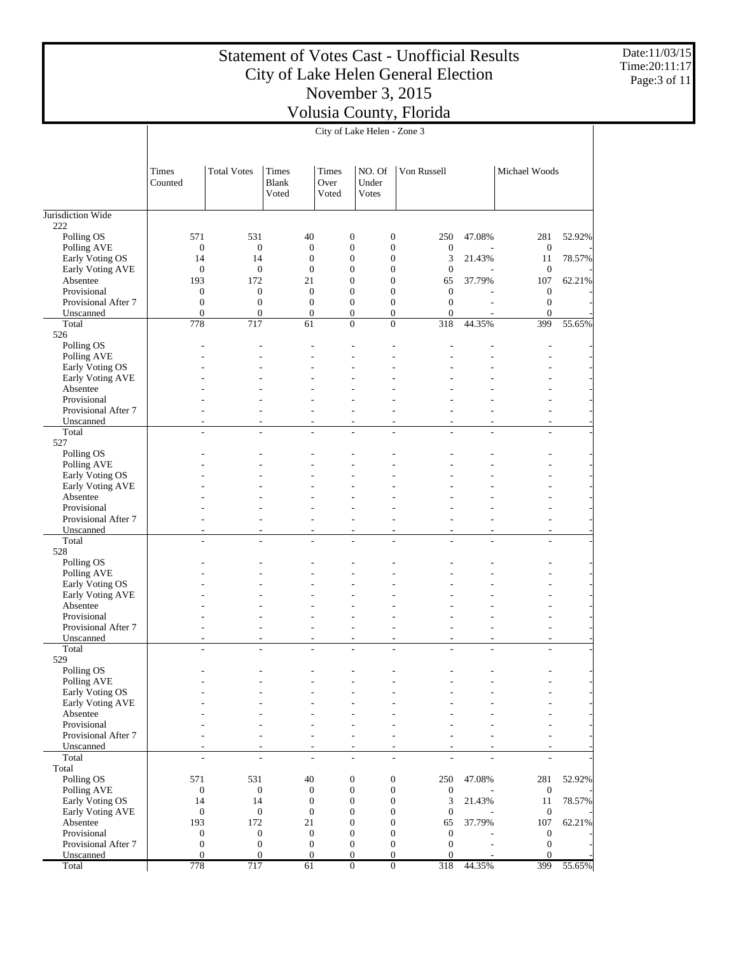Date:11/03/15 Time:20:11:17 Page:3 of 11

|                                |                          | City of Lake Helen - Zone 3 |                                       |                                      |                                      |                          |                          |                          |        |  |  |  |  |
|--------------------------------|--------------------------|-----------------------------|---------------------------------------|--------------------------------------|--------------------------------------|--------------------------|--------------------------|--------------------------|--------|--|--|--|--|
|                                | Times<br>Counted         | <b>Total Votes</b>          | <b>Times</b><br><b>Blank</b><br>Voted | <b>Times</b><br>Over<br>Voted        | NO. Of<br>Under<br>Votes             | Von Russell              |                          | Michael Woods            |        |  |  |  |  |
| Jurisdiction Wide              |                          |                             |                                       |                                      |                                      |                          |                          |                          |        |  |  |  |  |
| 222                            |                          |                             |                                       |                                      |                                      |                          |                          |                          |        |  |  |  |  |
| Polling OS                     | 571                      | 531                         | 40                                    | $\boldsymbol{0}$                     | $\boldsymbol{0}$                     | 250                      | 47.08%                   | 281                      | 52.92% |  |  |  |  |
| Polling AVE<br>Early Voting OS | $\mathbf{0}$<br>14       | $\boldsymbol{0}$<br>14      | $\mathbf{0}$<br>$\mathbf{0}$          | $\boldsymbol{0}$<br>$\boldsymbol{0}$ | $\boldsymbol{0}$<br>$\boldsymbol{0}$ | $\boldsymbol{0}$<br>3    | 21.43%                   | $\mathbf{0}$<br>11       | 78.57% |  |  |  |  |
| Early Voting AVE               | $\mathbf{0}$             | $\mathbf{0}$                | $\mathbf{0}$                          | $\boldsymbol{0}$                     | $\boldsymbol{0}$                     | $\boldsymbol{0}$         |                          | $\mathbf{0}$             |        |  |  |  |  |
| Absentee                       | 193                      | 172                         | 21                                    | $\boldsymbol{0}$                     | $\boldsymbol{0}$                     | 65                       | 37.79%                   | 107                      | 62.21% |  |  |  |  |
| Provisional                    | $\boldsymbol{0}$         | $\mathbf{0}$                | $\boldsymbol{0}$                      | $\boldsymbol{0}$                     | $\boldsymbol{0}$                     | $\mathbf{0}$             |                          | $\mathbf{0}$             |        |  |  |  |  |
| Provisional After 7            | $\boldsymbol{0}$         | $\mathbf{0}$                | $\mathbf{0}$                          | $\boldsymbol{0}$                     | $\boldsymbol{0}$                     | $\mathbf{0}$             |                          | $\boldsymbol{0}$         |        |  |  |  |  |
| Unscanned                      | $\boldsymbol{0}$         | $\mathbf{0}$                | $\boldsymbol{0}$                      | $\boldsymbol{0}$                     | $\boldsymbol{0}$                     | $\boldsymbol{0}$         |                          | $\overline{0}$           |        |  |  |  |  |
| Total                          | 778                      | 717                         | 61                                    | $\overline{0}$                       | $\overline{0}$                       | 318                      | 44.35%                   | 399                      | 55.65% |  |  |  |  |
| 526                            |                          |                             |                                       |                                      |                                      |                          |                          |                          |        |  |  |  |  |
| Polling OS<br>Polling AVE      |                          |                             |                                       |                                      |                                      |                          |                          |                          |        |  |  |  |  |
| Early Voting OS                |                          |                             |                                       |                                      |                                      |                          |                          |                          |        |  |  |  |  |
| Early Voting AVE               |                          |                             |                                       |                                      |                                      |                          |                          |                          |        |  |  |  |  |
| Absentee                       |                          |                             |                                       |                                      |                                      |                          |                          |                          |        |  |  |  |  |
| Provisional                    |                          |                             |                                       |                                      |                                      |                          |                          |                          |        |  |  |  |  |
| Provisional After 7            |                          | ٠                           | ٠                                     | ÷,                                   | ÷,                                   |                          |                          | $\overline{a}$           |        |  |  |  |  |
| Unscanned                      | L.                       | L.                          | ÷,                                    | $\overline{a}$                       | $\overline{a}$                       | ÷                        | $\overline{a}$           | $\overline{\phantom{a}}$ |        |  |  |  |  |
| Total                          | $\overline{\phantom{a}}$ | $\sim$                      | $\overline{a}$                        | $\overline{a}$                       | $\overline{a}$                       | $\sim$                   | $\overline{a}$           | $\sim$                   |        |  |  |  |  |
| 527                            |                          |                             |                                       |                                      |                                      |                          |                          |                          |        |  |  |  |  |
| Polling OS                     |                          |                             |                                       |                                      |                                      |                          |                          |                          |        |  |  |  |  |
| Polling AVE<br>Early Voting OS |                          |                             |                                       |                                      |                                      |                          |                          |                          |        |  |  |  |  |
| Early Voting AVE               |                          |                             |                                       |                                      |                                      |                          |                          |                          |        |  |  |  |  |
| Absentee                       |                          |                             |                                       |                                      |                                      |                          |                          |                          |        |  |  |  |  |
| Provisional                    |                          |                             |                                       |                                      |                                      |                          |                          |                          |        |  |  |  |  |
| Provisional After 7            |                          |                             |                                       |                                      | $\overline{a}$                       |                          |                          |                          |        |  |  |  |  |
| Unscanned                      |                          | ÷,                          | $\overline{a}$                        | $\overline{\phantom{a}}$             | $\overline{a}$                       | $\overline{\phantom{a}}$ | $\overline{\phantom{a}}$ | $\overline{a}$           |        |  |  |  |  |
| Total                          | L.                       | ÷                           | L.                                    | ÷.                                   | $\overline{a}$                       |                          | L.                       | L.                       |        |  |  |  |  |
| 528                            |                          |                             |                                       |                                      |                                      |                          |                          |                          |        |  |  |  |  |
| Polling OS                     |                          |                             |                                       |                                      |                                      |                          |                          |                          |        |  |  |  |  |
| Polling AVE<br>Early Voting OS |                          |                             |                                       |                                      |                                      |                          |                          |                          |        |  |  |  |  |
| Early Voting AVE               |                          |                             |                                       |                                      |                                      |                          |                          |                          |        |  |  |  |  |
| Absentee                       |                          |                             |                                       |                                      |                                      |                          |                          |                          |        |  |  |  |  |
| Provisional                    |                          |                             |                                       |                                      |                                      |                          |                          |                          |        |  |  |  |  |
| Provisional After 7            |                          | ÷                           | $\overline{a}$                        | $\overline{a}$                       | $\overline{a}$                       | $\overline{a}$           |                          | $\overline{a}$           |        |  |  |  |  |
| Unscanned                      |                          |                             | $\overline{a}$                        | ÷,                                   | $\overline{a}$                       | ÷,                       | ÷,                       | L,                       |        |  |  |  |  |
| Total                          | ٠                        | ÷.                          | $\overline{a}$                        | $\overline{a}$                       | $\overline{a}$                       | L.                       | $\overline{a}$           | L,                       |        |  |  |  |  |
| 529                            |                          |                             |                                       |                                      |                                      |                          |                          |                          |        |  |  |  |  |
| Polling OS                     |                          |                             |                                       |                                      |                                      |                          |                          |                          |        |  |  |  |  |
| Polling AVE<br>Early Voting OS |                          |                             |                                       |                                      |                                      |                          |                          |                          |        |  |  |  |  |
| Early Voting AVE               |                          |                             |                                       |                                      |                                      |                          |                          |                          |        |  |  |  |  |
| Absentee                       |                          |                             |                                       |                                      |                                      |                          |                          |                          |        |  |  |  |  |
| Provisional                    |                          |                             |                                       |                                      |                                      |                          |                          |                          |        |  |  |  |  |
| Provisional After 7            |                          |                             |                                       |                                      | $\overline{a}$                       |                          |                          | $\overline{a}$           |        |  |  |  |  |
| Unscanned                      |                          |                             | $\overline{\phantom{a}}$              | $\overline{\phantom{a}}$             | ÷,                                   |                          |                          | $\overline{\phantom{a}}$ |        |  |  |  |  |
| Total                          | ۰                        | ÷,                          | $\overline{a}$                        | ÷,                                   | $\overline{a}$                       | $\overline{a}$           | L.                       | $\overline{\phantom{a}}$ |        |  |  |  |  |
| Total                          |                          |                             |                                       |                                      |                                      |                          |                          |                          |        |  |  |  |  |
| Polling OS                     | 571<br>$\boldsymbol{0}$  | 531<br>$\boldsymbol{0}$     | 40                                    | $\boldsymbol{0}$<br>$\mathbf{0}$     | $\boldsymbol{0}$<br>$\mathbf{0}$     | 250                      | 47.08%                   | 281                      | 52.92% |  |  |  |  |
| Polling AVE<br>Early Voting OS | 14                       | 14                          | $\boldsymbol{0}$<br>$\mathbf{0}$      | $\boldsymbol{0}$                     | $\boldsymbol{0}$                     | $\mathbf{0}$<br>3        | 21.43%                   | $\boldsymbol{0}$<br>11   | 78.57% |  |  |  |  |
| Early Voting AVE               | $\mathbf{0}$             | $\mathbf{0}$                | $\boldsymbol{0}$                      | $\boldsymbol{0}$                     | $\boldsymbol{0}$                     | $\boldsymbol{0}$         |                          | $\mathbf{0}$             |        |  |  |  |  |
| Absentee                       | 193                      | 172                         | 21                                    | $\boldsymbol{0}$                     | $\boldsymbol{0}$                     | 65                       | 37.79%                   | 107                      | 62.21% |  |  |  |  |
| Provisional                    | $\boldsymbol{0}$         | $\mathbf{0}$                | $\boldsymbol{0}$                      | $\boldsymbol{0}$                     | $\boldsymbol{0}$                     | $\boldsymbol{0}$         |                          | $\mathbf{0}$             |        |  |  |  |  |
| Provisional After 7            | $\boldsymbol{0}$         | $\mathbf{0}$                | $\mathbf{0}$                          | $\boldsymbol{0}$                     | $\boldsymbol{0}$                     | $\mathbf{0}$             |                          | $\mathbf{0}$             |        |  |  |  |  |
| Unscanned                      | $\boldsymbol{0}$         | $\overline{0}$              | $\boldsymbol{0}$                      | $\mathbf{0}$                         | $\boldsymbol{0}$                     | $\overline{0}$           |                          | $\mathbf{0}$             |        |  |  |  |  |
| Total                          | 778                      | 717                         | 61                                    | $\boldsymbol{0}$                     | $\overline{0}$                       | 318                      | 44.35%                   | 399                      | 55.65% |  |  |  |  |

 $\mathbf{I}$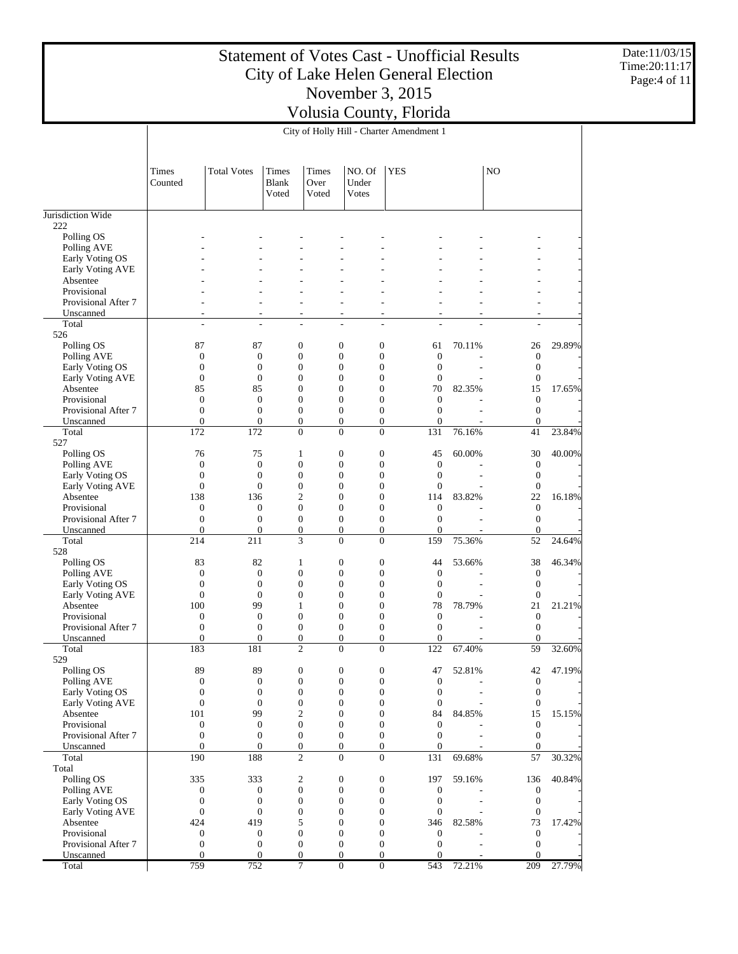Date:11/03/15 Time:20:11:17 Page:4 of 11

|                                     |                                      |                                |                                      |                        | City of Holly Hill - Charter Amendment 1                             |                                      |                                      |        |                              |        |
|-------------------------------------|--------------------------------------|--------------------------------|--------------------------------------|------------------------|----------------------------------------------------------------------|--------------------------------------|--------------------------------------|--------|------------------------------|--------|
|                                     | Times<br>Counted                     | <b>Total Votes</b>             | Times<br><b>Blank</b><br>Voted       | Times<br>Over<br>Voted | NO. Of<br>Under<br><b>V</b> otes                                     | <b>YES</b>                           |                                      |        | N <sub>O</sub>               |        |
| Jurisdiction Wide                   |                                      |                                |                                      |                        |                                                                      |                                      |                                      |        |                              |        |
| 222                                 |                                      |                                |                                      |                        |                                                                      |                                      |                                      |        |                              |        |
| Polling OS                          |                                      |                                |                                      |                        |                                                                      |                                      |                                      |        |                              |        |
| Polling AVE<br>Early Voting OS      |                                      |                                |                                      |                        |                                                                      |                                      |                                      |        |                              |        |
| Early Voting AVE                    |                                      |                                |                                      |                        |                                                                      |                                      |                                      |        |                              |        |
| Absentee                            |                                      |                                |                                      |                        |                                                                      |                                      |                                      |        |                              |        |
| Provisional                         |                                      |                                |                                      |                        |                                                                      |                                      |                                      |        | L,                           |        |
| Provisional After 7                 |                                      |                                | L,                                   |                        | ۰                                                                    |                                      |                                      |        | ۰                            |        |
| Unscanned                           | ٠                                    |                                | $\overline{\phantom{a}}$             |                        | ٠                                                                    | ٠                                    |                                      |        | ٠                            |        |
| Total<br>526                        | ÷,                                   | ÷                              | $\overline{a}$                       |                        | ÷,                                                                   | ÷,                                   | L.                                   |        | ÷.                           |        |
| Polling OS                          | 87                                   | 87                             | $\boldsymbol{0}$                     |                        | $\boldsymbol{0}$<br>$\boldsymbol{0}$                                 |                                      | 61                                   | 70.11% | 26                           | 29.89% |
| Polling AVE                         | $\boldsymbol{0}$                     | $\mathbf{0}$                   | $\boldsymbol{0}$                     |                        | $\boldsymbol{0}$<br>$\mathbf{0}$                                     |                                      | $\boldsymbol{0}$                     |        | $\mathbf{0}$                 |        |
| Early Voting OS                     | $\boldsymbol{0}$                     | $\mathbf{0}$                   | $\boldsymbol{0}$                     |                        | $\boldsymbol{0}$<br>$\mathbf{0}$                                     |                                      | $\boldsymbol{0}$                     |        | $\mathbf{0}$                 |        |
| Early Voting AVE                    | $\boldsymbol{0}$                     | $\mathbf{0}$                   | $\mathbf{0}$                         |                        | $\boldsymbol{0}$<br>$\mathbf{0}$                                     |                                      | $\boldsymbol{0}$                     |        | $\boldsymbol{0}$             |        |
| Absentee                            | 85                                   | 85                             | $\mathbf{0}$                         |                        | $\boldsymbol{0}$<br>$\mathbf{0}$                                     |                                      | 70                                   | 82.35% | 15                           | 17.65% |
| Provisional                         | $\boldsymbol{0}$                     | $\mathbf{0}$                   | $\mathbf{0}$                         |                        | $\boldsymbol{0}$<br>$\mathbf{0}$                                     |                                      | $\boldsymbol{0}$                     |        | $\mathbf{0}$                 |        |
| Provisional After 7<br>Unscanned    | $\boldsymbol{0}$<br>$\mathbf{0}$     | $\overline{0}$<br>$\mathbf{0}$ | $\boldsymbol{0}$<br>$\mathbf{0}$     |                        | $\boldsymbol{0}$<br>$\mathbf{0}$                                     | $\boldsymbol{0}$<br>$\boldsymbol{0}$ | $\boldsymbol{0}$<br>$\mathbf{0}$     |        | $\mathbf{0}$<br>$\theta$     |        |
| Total                               | 172                                  | 172                            | $\mathbf{0}$                         |                        | $\boldsymbol{0}$<br>$\mathbf{0}$                                     |                                      | 131                                  | 76.16% | 41                           | 23.84% |
| 527                                 |                                      |                                |                                      |                        |                                                                      |                                      |                                      |        |                              |        |
| Polling OS                          | 76                                   | 75                             | $\mathbf{1}$                         |                        | $\boldsymbol{0}$<br>$\mathbf{0}$                                     |                                      | 45                                   | 60.00% | 30                           | 40.00% |
| Polling AVE                         | $\boldsymbol{0}$                     | $\mathbf{0}$                   | $\boldsymbol{0}$                     |                        | $\boldsymbol{0}$<br>$\mathbf{0}$                                     |                                      | $\boldsymbol{0}$                     |        | $\mathbf{0}$                 |        |
| Early Voting OS                     | $\boldsymbol{0}$                     | $\mathbf{0}$                   | $\boldsymbol{0}$                     |                        | $\boldsymbol{0}$<br>$\mathbf{0}$                                     |                                      | $\boldsymbol{0}$                     |        | $\mathbf{0}$                 |        |
| Early Voting AVE                    | $\boldsymbol{0}$                     | $\mathbf{0}$                   | $\boldsymbol{0}$                     |                        | $\boldsymbol{0}$<br>$\mathbf{0}$                                     |                                      | $\boldsymbol{0}$                     |        | $\mathbf{0}$                 |        |
| Absentee<br>Provisional             | 138<br>0                             | 136<br>$\boldsymbol{0}$        | $\mathfrak{2}$<br>$\mathbf{0}$       |                        | $\boldsymbol{0}$<br>$\mathbf{0}$<br>$\boldsymbol{0}$<br>$\mathbf{0}$ |                                      | 114<br>$\boldsymbol{0}$              | 83.82% | 22<br>$\mathbf{0}$           | 16.18% |
| Provisional After 7                 | $\boldsymbol{0}$                     | $\overline{0}$                 | $\mathbf{0}$                         |                        | $\boldsymbol{0}$                                                     | $\boldsymbol{0}$                     | $\boldsymbol{0}$                     |        | $\mathbf{0}$                 |        |
| Unscanned                           | $\mathbf{0}$                         | $\mathbf{0}$                   | $\boldsymbol{0}$                     |                        | $\boldsymbol{0}$                                                     | $\boldsymbol{0}$                     | $\mathbf{0}$                         |        | $\theta$                     |        |
| Total                               | 214                                  | 211                            | 3                                    |                        | $\mathbf{0}$                                                         | $\mathbf{0}$                         | 159                                  | 75.36% | 52                           | 24.64% |
| 528                                 |                                      |                                |                                      |                        |                                                                      |                                      |                                      |        |                              |        |
| Polling OS                          | 83                                   | 82                             | $\mathbf{1}$                         |                        | $\boldsymbol{0}$<br>$\mathbf{0}$                                     |                                      | 44                                   | 53.66% | 38                           | 46.34% |
| Polling AVE                         | 0                                    | $\mathbf{0}$                   | $\boldsymbol{0}$                     |                        | $\boldsymbol{0}$<br>$\mathbf{0}$                                     |                                      | $\boldsymbol{0}$                     |        | $\mathbf{0}$                 |        |
| Early Voting OS<br>Early Voting AVE | $\boldsymbol{0}$<br>$\boldsymbol{0}$ | $\mathbf{0}$<br>$\mathbf{0}$   | $\boldsymbol{0}$<br>$\boldsymbol{0}$ |                        | $\boldsymbol{0}$<br>$\mathbf{0}$<br>$\boldsymbol{0}$<br>$\mathbf{0}$ |                                      | $\boldsymbol{0}$<br>$\boldsymbol{0}$ |        | $\mathbf{0}$<br>$\mathbf{0}$ |        |
| Absentee                            | 100                                  | 99                             | 1                                    |                        | $\boldsymbol{0}$<br>$\mathbf{0}$                                     |                                      | 78                                   | 78.79% | 21                           | 21.21% |
| Provisional                         | 0                                    | $\mathbf{0}$                   | $\overline{0}$                       |                        | $\boldsymbol{0}$<br>$\mathbf{0}$                                     |                                      | $\boldsymbol{0}$                     |        | $\mathbf{0}$                 |        |
| Provisional After 7                 | $\boldsymbol{0}$                     | $\mathbf{0}$                   | $\mathbf{0}$                         |                        | $\boldsymbol{0}$<br>$\boldsymbol{0}$                                 |                                      | $\boldsymbol{0}$                     |        | $\mathbf{0}$                 |        |
| Unscanned                           | 0                                    | $\overline{0}$                 | $\boldsymbol{0}$                     |                        | $\overline{0}$<br>$\mathbf{0}$                                       |                                      | $\overline{0}$                       |        | $\mathbf{0}$                 |        |
| Total                               | 183                                  | 181                            | $\overline{c}$                       |                        | $\mathbf{0}$<br>$\mathbf{0}$                                         |                                      | 122                                  | 67.40% | 59                           | 32.60% |
| 529                                 |                                      |                                |                                      |                        |                                                                      |                                      |                                      |        |                              |        |
| Polling OS<br>Polling AVE           | 89<br>$\boldsymbol{0}$               | 89<br>$\boldsymbol{0}$         | 0<br>$\boldsymbol{0}$                |                        | 0<br>$\boldsymbol{0}$                                                | 0<br>$\boldsymbol{0}$                | 47<br>$\boldsymbol{0}$               | 52.81% | 42<br>$\boldsymbol{0}$       | 47.19% |
| Early Voting OS                     | $\boldsymbol{0}$                     | $\mathbf{0}$                   | $\boldsymbol{0}$                     |                        | $\boldsymbol{0}$                                                     | $\boldsymbol{0}$                     | $\boldsymbol{0}$                     |        | $\mathbf{0}$                 |        |
| Early Voting AVE                    | $\boldsymbol{0}$                     | $\mathbf{0}$                   | $\boldsymbol{0}$                     |                        | $\boldsymbol{0}$                                                     | $\boldsymbol{0}$                     | $\boldsymbol{0}$                     |        | $\mathbf{0}$                 |        |
| Absentee                            | 101                                  | 99                             | $\mathfrak{2}$                       |                        | $\boldsymbol{0}$                                                     | $\boldsymbol{0}$                     | 84                                   | 84.85% | 15                           | 15.15% |
| Provisional                         | $\boldsymbol{0}$                     | $\boldsymbol{0}$               | $\boldsymbol{0}$                     |                        | $\boldsymbol{0}$                                                     | $\boldsymbol{0}$                     | $\boldsymbol{0}$                     |        | $\mathbf{0}$                 |        |
| Provisional After 7                 | $\boldsymbol{0}$                     | $\mathbf{0}$                   | $\boldsymbol{0}$                     |                        | $\boldsymbol{0}$                                                     | $\boldsymbol{0}$                     | $\boldsymbol{0}$                     |        | $\mathbf{0}$                 |        |
| Unscanned                           | $\mathbf{0}$<br>190                  | $\mathbf{0}$                   | $\boldsymbol{0}$                     |                        | $\boldsymbol{0}$<br>$\boldsymbol{0}$                                 | $\boldsymbol{0}$                     | $\boldsymbol{0}$                     |        | $\mathbf{0}$                 |        |
| Total<br>Total                      |                                      | 188                            | $\overline{c}$                       |                        | $\boldsymbol{0}$                                                     |                                      | 131                                  | 69.68% | 57                           | 30.32% |
| Polling OS                          | 335                                  | 333                            | $\mathfrak{2}$                       |                        | $\boldsymbol{0}$<br>$\boldsymbol{0}$                                 |                                      | 197                                  | 59.16% | 136                          | 40.84% |
| Polling AVE                         | 0                                    | $\boldsymbol{0}$               | $\boldsymbol{0}$                     |                        | $\boldsymbol{0}$                                                     | $\boldsymbol{0}$                     | $\boldsymbol{0}$                     |        | $\mathbf{0}$                 |        |
| Early Voting OS                     | $\boldsymbol{0}$                     | $\mathbf{0}$                   | $\boldsymbol{0}$                     |                        | $\boldsymbol{0}$                                                     | $\boldsymbol{0}$                     | $\boldsymbol{0}$                     |        | $\mathbf{0}$                 |        |
| Early Voting AVE                    | $\boldsymbol{0}$                     | $\mathbf{0}$                   | $\boldsymbol{0}$                     |                        | $\boldsymbol{0}$                                                     | $\boldsymbol{0}$                     | $\boldsymbol{0}$                     |        | $\mathbf{0}$                 |        |
| Absentee                            | 424                                  | 419                            | 5                                    |                        | $\boldsymbol{0}$                                                     | $\boldsymbol{0}$                     | 346                                  | 82.58% | 73                           | 17.42% |
| Provisional                         | 0                                    | $\boldsymbol{0}$               | $\boldsymbol{0}$                     |                        | $\boldsymbol{0}$                                                     | $\boldsymbol{0}$                     | $\boldsymbol{0}$                     |        | $\mathbf{0}$                 |        |
| Provisional After 7                 | $\boldsymbol{0}$<br>$\mathbf{0}$     | $\mathbf{0}$<br>$\mathbf{0}$   | $\boldsymbol{0}$<br>$\boldsymbol{0}$ |                        | $\boldsymbol{0}$<br>$\boldsymbol{0}$<br>$\boldsymbol{0}$             | $\boldsymbol{0}$                     | $\boldsymbol{0}$<br>$\mathbf{0}$     |        | $\mathbf{0}$<br>$\theta$     |        |
| Unscanned<br>Total                  | 759                                  | 752                            | 7                                    |                        | $\overline{0}$                                                       | $\boldsymbol{0}$                     | 543                                  | 72.21% | 209                          | 27.79% |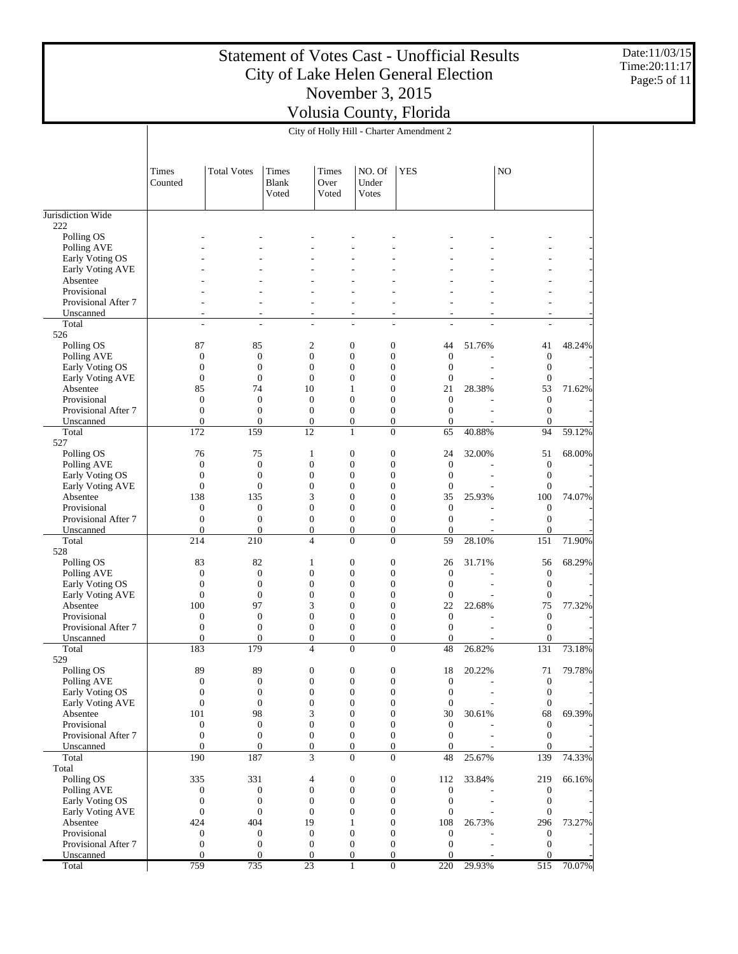Date:11/03/15 Time:20:11:17 Page:5 of 11

|                                     |                                      |                                  |                                      |                        |                                  | City of Holly Hill - Charter Amendment 2                                     |        |                                  |        |
|-------------------------------------|--------------------------------------|----------------------------------|--------------------------------------|------------------------|----------------------------------|------------------------------------------------------------------------------|--------|----------------------------------|--------|
|                                     | Times<br>Counted                     | <b>Total Votes</b>               | <b>Times</b><br>Blank<br>Voted       | Times<br>Over<br>Voted | NO. Of<br>Under<br><b>V</b> otes | <b>YES</b>                                                                   |        | N <sub>O</sub>                   |        |
| Jurisdiction Wide                   |                                      |                                  |                                      |                        |                                  |                                                                              |        |                                  |        |
| 222                                 |                                      |                                  |                                      |                        |                                  |                                                                              |        |                                  |        |
| Polling OS                          |                                      |                                  |                                      |                        |                                  |                                                                              |        |                                  |        |
| Polling AVE                         |                                      |                                  |                                      |                        |                                  |                                                                              |        |                                  |        |
| Early Voting OS                     |                                      |                                  |                                      |                        |                                  |                                                                              |        |                                  |        |
| Early Voting AVE<br>Absentee        |                                      |                                  |                                      |                        |                                  |                                                                              |        |                                  |        |
| Provisional                         |                                      |                                  |                                      |                        |                                  |                                                                              |        |                                  |        |
| Provisional After 7                 |                                      |                                  |                                      |                        |                                  |                                                                              |        |                                  |        |
| Unscanned                           | L,                                   | ÷,                               | $\overline{a}$                       |                        | ٠                                | $\overline{a}$                                                               |        | ÷,                               |        |
| Total                               | ÷,                                   | ÷,                               | $\sim$                               |                        | $\overline{a}$                   | $\overline{a}$                                                               |        | L,                               |        |
| 526                                 |                                      |                                  |                                      |                        |                                  |                                                                              |        |                                  |        |
| Polling OS                          | 87                                   | 85                               | $\mathfrak{2}$                       |                        | $\mathbf{0}$                     | $\boldsymbol{0}$<br>44                                                       | 51.76% | 41                               | 48.24% |
| Polling AVE                         | $\boldsymbol{0}$                     | $\boldsymbol{0}$                 | $\boldsymbol{0}$                     |                        | $\mathbf{0}$                     | $\mathbf{0}$<br>$\boldsymbol{0}$                                             |        | $\mathbf{0}$                     |        |
| Early Voting OS                     | $\mathbf{0}$                         | $\boldsymbol{0}$                 | $\mathbf{0}$                         |                        | $\mathbf{0}$                     | $\boldsymbol{0}$<br>$\mathbf{0}$                                             |        | $\mathbf{0}$                     |        |
| Early Voting AVE                    | $\mathbf{0}$                         | $\boldsymbol{0}$                 | $\boldsymbol{0}$                     |                        | $\overline{0}$                   | $\boldsymbol{0}$<br>$\mathbf{0}$                                             |        | $\mathbf{0}$                     |        |
| Absentee                            | 85                                   | 74                               | 10                                   |                        | 1                                | $\boldsymbol{0}$<br>21                                                       | 28.38% | 53                               | 71.62% |
| Provisional<br>Provisional After 7  | $\mathbf{0}$<br>$\mathbf{0}$         | $\mathbf{0}$<br>$\boldsymbol{0}$ | $\mathbf{0}$<br>$\boldsymbol{0}$     |                        | $\overline{0}$<br>$\mathbf{0}$   | $\mathbf{0}$<br>$\boldsymbol{0}$<br>$\boldsymbol{0}$<br>$\mathbf{0}$         |        | $\mathbf{0}$<br>$\mathbf{0}$     |        |
| Unscanned                           | $\mathbf{0}$                         | $\overline{0}$                   | $\boldsymbol{0}$                     |                        | $\overline{0}$                   | $\boldsymbol{0}$<br>$\boldsymbol{0}$                                         |        | $\mathbf{0}$                     |        |
| Total                               | 172                                  | 159                              | 12                                   |                        | 1                                | $\overline{0}$<br>65                                                         | 40.88% | 94                               | 59.12% |
| 527                                 |                                      |                                  |                                      |                        |                                  |                                                                              |        |                                  |        |
| Polling OS                          | 76                                   | 75                               | $\mathbf{1}$                         |                        | $\mathbf{0}$                     | $\boldsymbol{0}$<br>24                                                       | 32.00% | 51                               | 68.00% |
| Polling AVE                         | $\boldsymbol{0}$                     | $\mathbf{0}$                     | $\boldsymbol{0}$                     |                        | $\boldsymbol{0}$                 | $\boldsymbol{0}$<br>$\boldsymbol{0}$                                         |        | $\boldsymbol{0}$                 |        |
| Early Voting OS                     | $\mathbf{0}$                         | $\boldsymbol{0}$                 | $\mathbf{0}$                         |                        | $\mathbf{0}$                     | $\boldsymbol{0}$<br>$\mathbf{0}$                                             |        | $\mathbf{0}$                     |        |
| Early Voting AVE                    | $\mathbf{0}$                         | $\boldsymbol{0}$                 | $\mathbf{0}$                         |                        | $\overline{0}$                   | $\boldsymbol{0}$<br>$\boldsymbol{0}$                                         |        | $\boldsymbol{0}$                 |        |
| Absentee                            | 138                                  | 135                              | 3                                    |                        | $\boldsymbol{0}$                 | $\boldsymbol{0}$<br>35                                                       | 25.93% | 100                              | 74.07% |
| Provisional                         | $\mathbf{0}$                         | $\boldsymbol{0}$                 | $\boldsymbol{0}$                     |                        | $\mathbf{0}$                     | $\boldsymbol{0}$<br>$\boldsymbol{0}$                                         |        | $\mathbf{0}$                     |        |
| Provisional After 7                 | $\mathbf{0}$                         | $\boldsymbol{0}$                 | $\boldsymbol{0}$                     |                        | $\mathbf{0}$                     | $\boldsymbol{0}$<br>$\mathbf{0}$                                             |        | $\mathbf{0}$                     |        |
| Unscanned                           | $\mathbf{0}$                         | $\overline{0}$                   | $\boldsymbol{0}$                     |                        | $\overline{0}$                   | $\boldsymbol{0}$<br>$\mathbf{0}$                                             |        | $\boldsymbol{0}$                 |        |
| Total                               | 214                                  | 210                              | $\overline{4}$                       |                        | $\overline{0}$                   | $\overline{0}$<br>59                                                         | 28.10% | 151                              | 71.90% |
| 528<br>Polling OS                   | 83                                   | 82                               | $\mathbf{1}$                         |                        | $\mathbf{0}$                     | $\boldsymbol{0}$<br>26                                                       | 31.71% | 56                               | 68.29% |
| Polling AVE                         | $\mathbf{0}$                         | $\mathbf{0}$                     | $\boldsymbol{0}$                     |                        | $\boldsymbol{0}$                 | $\boldsymbol{0}$<br>$\mathbf{0}$                                             |        | $\mathbf{0}$                     |        |
| Early Voting OS                     | $\mathbf{0}$                         | $\boldsymbol{0}$                 | $\mathbf{0}$                         |                        | $\mathbf{0}$                     | $\boldsymbol{0}$<br>$\mathbf{0}$                                             |        | $\mathbf{0}$                     |        |
| Early Voting AVE                    | $\mathbf{0}$                         | $\boldsymbol{0}$                 | $\boldsymbol{0}$                     |                        | $\overline{0}$                   | $\boldsymbol{0}$<br>$\boldsymbol{0}$                                         |        | $\boldsymbol{0}$                 |        |
| Absentee                            | 100                                  | 97                               | 3                                    |                        | $\mathbf{0}$                     | $\boldsymbol{0}$<br>22                                                       | 22.68% | 75                               | 77.32% |
| Provisional                         | $\overline{0}$                       | $\mathbf{0}$                     | $\mathbf{0}$                         |                        | $\overline{0}$                   | $\boldsymbol{0}$<br>$\boldsymbol{0}$                                         |        | $\mathbf{0}$                     |        |
| Provisional After 7                 | $\mathbf{0}$                         | $\boldsymbol{0}$                 | $\boldsymbol{0}$                     |                        | $\mathbf{0}$                     | $\boldsymbol{0}$<br>$\boldsymbol{0}$                                         |        | $\mathbf{0}$                     |        |
| Unscanned                           | $\overline{0}$                       | $\overline{0}$                   | $\boldsymbol{0}$                     |                        | $\mathbf{0}$                     | $\boldsymbol{0}$<br>$\boldsymbol{0}$                                         |        | $\mathbf{0}$                     |        |
| Total                               | 183                                  | 179                              | $\overline{4}$                       |                        | $\overline{0}$                   | $\overline{0}$<br>48                                                         | 26.82% | 131                              | 73.18% |
| 529                                 |                                      |                                  |                                      |                        |                                  |                                                                              |        |                                  |        |
| Polling OS                          | 89                                   | 89                               | $\boldsymbol{0}$                     |                        | $\boldsymbol{0}$                 | 0<br>18                                                                      | 20.22% | 71                               | 79.78% |
| Polling AVE                         | $\boldsymbol{0}$                     | $\boldsymbol{0}$                 | $\boldsymbol{0}$                     |                        | $\boldsymbol{0}$                 | $\boldsymbol{0}$<br>$\boldsymbol{0}$                                         |        | $\boldsymbol{0}$                 |        |
| Early Voting OS<br>Early Voting AVE | $\boldsymbol{0}$<br>$\boldsymbol{0}$ | $\mathbf{0}$<br>$\boldsymbol{0}$ | $\boldsymbol{0}$<br>$\boldsymbol{0}$ |                        | $\mathbf{0}$<br>$\boldsymbol{0}$ | $\boldsymbol{0}$<br>$\boldsymbol{0}$<br>$\boldsymbol{0}$<br>$\boldsymbol{0}$ |        | $\mathbf{0}$<br>$\boldsymbol{0}$ |        |
| Absentee                            | 101                                  | 98                               | 3                                    |                        | $\mathbf{0}$                     | $\boldsymbol{0}$<br>30                                                       | 30.61% | 68                               | 69.39% |
| Provisional                         | $\boldsymbol{0}$                     | $\boldsymbol{0}$                 | $\boldsymbol{0}$                     |                        | $\mathbf{0}$                     | $\boldsymbol{0}$<br>$\boldsymbol{0}$                                         |        | $\mathbf{0}$                     |        |
| Provisional After 7                 | $\boldsymbol{0}$                     | $\boldsymbol{0}$                 | $\boldsymbol{0}$                     |                        | $\boldsymbol{0}$                 | $\boldsymbol{0}$<br>$\boldsymbol{0}$                                         |        | $\boldsymbol{0}$                 |        |
| Unscanned                           | $\mathbf{0}$                         | $\mathbf{0}$                     | $\boldsymbol{0}$                     |                        | $\boldsymbol{0}$                 | $\boldsymbol{0}$<br>$\mathbf{0}$                                             |        | $\mathbf{0}$                     |        |
| Total                               | 190                                  | 187                              | 3                                    |                        | $\overline{0}$                   | $\boldsymbol{0}$<br>48                                                       | 25.67% | 139                              | 74.33% |
| Total                               |                                      |                                  |                                      |                        |                                  |                                                                              |        |                                  |        |
| Polling OS                          | 335                                  | 331                              | $\overline{4}$                       |                        | $\boldsymbol{0}$                 | $\boldsymbol{0}$<br>112                                                      | 33.84% | 219                              | 66.16% |
| Polling AVE                         | $\boldsymbol{0}$                     | $\boldsymbol{0}$                 | $\boldsymbol{0}$                     |                        | $\boldsymbol{0}$                 | $\boldsymbol{0}$<br>$\mathbf{0}$                                             |        | $\boldsymbol{0}$                 |        |
| Early Voting OS                     | $\boldsymbol{0}$                     | $\boldsymbol{0}$                 | $\boldsymbol{0}$                     |                        | $\mathbf{0}$                     | $\boldsymbol{0}$<br>$\boldsymbol{0}$                                         |        | $\mathbf{0}$                     |        |
| Early Voting AVE                    | $\boldsymbol{0}$                     | $\boldsymbol{0}$                 | $\boldsymbol{0}$                     |                        | $\mathbf{0}$                     | $\boldsymbol{0}$<br>$\boldsymbol{0}$                                         |        | $\boldsymbol{0}$                 |        |
| Absentee                            | 424                                  | 404                              | 19                                   |                        | 1                                | $\boldsymbol{0}$<br>108                                                      | 26.73% | 296                              | 73.27% |
| Provisional                         | $\boldsymbol{0}$                     | $\boldsymbol{0}$                 | $\boldsymbol{0}$                     |                        | $\boldsymbol{0}$                 | $\boldsymbol{0}$<br>$\mathbf{0}$                                             |        | $\boldsymbol{0}$                 |        |
| Provisional After 7                 | $\boldsymbol{0}$<br>$\mathbf{0}$     | $\boldsymbol{0}$<br>$\mathbf{0}$ | $\boldsymbol{0}$<br>$\boldsymbol{0}$ |                        | $\mathbf{0}$<br>$\mathbf{0}$     | $\boldsymbol{0}$<br>$\boldsymbol{0}$<br>$\boldsymbol{0}$<br>$\mathbf{0}$     |        | $\boldsymbol{0}$<br>$\mathbf{0}$ |        |
| Unscanned<br>Total                  | 759                                  | 735                              | 23                                   |                        | $\mathbf{1}$                     | $\overline{0}$<br>220                                                        | 29.93% | 515                              | 70.07% |
|                                     |                                      |                                  |                                      |                        |                                  |                                                                              |        |                                  |        |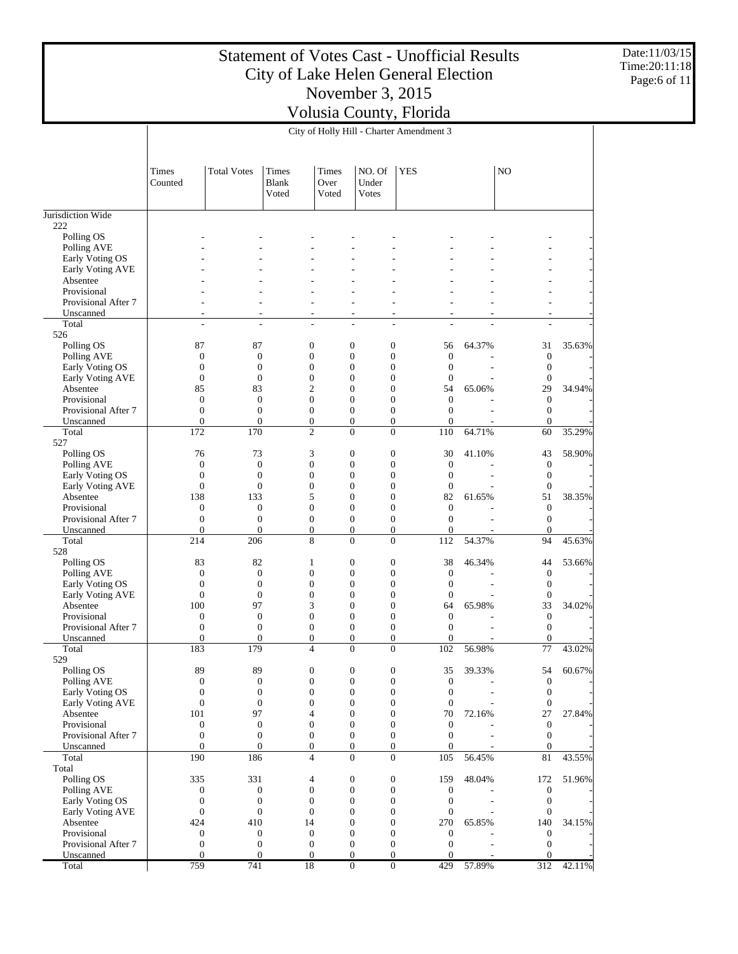Date:11/03/15 Time:20:11:18 Page:6 of 11

|                                     |                                      |                                      |                                |                                      | City of Holly Hill - Charter Amendment 3 |                                      |                                      |        |                                  |        |
|-------------------------------------|--------------------------------------|--------------------------------------|--------------------------------|--------------------------------------|------------------------------------------|--------------------------------------|--------------------------------------|--------|----------------------------------|--------|
|                                     | <b>Times</b><br>Counted              | <b>Total Votes</b>                   | Times<br><b>Blank</b><br>Voted | <b>Times</b><br>Over<br>Voted        | NO. Of<br>Under<br><b>V</b> otes         | <b>YES</b>                           |                                      |        | N <sub>O</sub>                   |        |
| Jurisdiction Wide                   |                                      |                                      |                                |                                      |                                          |                                      |                                      |        |                                  |        |
| 222                                 |                                      |                                      |                                |                                      |                                          |                                      |                                      |        |                                  |        |
| Polling OS                          |                                      |                                      |                                |                                      |                                          |                                      |                                      |        |                                  |        |
| Polling AVE                         |                                      |                                      |                                |                                      |                                          |                                      |                                      |        |                                  |        |
| Early Voting OS<br>Early Voting AVE |                                      |                                      |                                |                                      |                                          |                                      |                                      |        |                                  |        |
| Absentee                            |                                      |                                      |                                |                                      |                                          |                                      |                                      |        |                                  |        |
| Provisional                         |                                      |                                      |                                |                                      |                                          |                                      |                                      |        |                                  |        |
| Provisional After 7                 |                                      |                                      |                                |                                      |                                          |                                      |                                      |        |                                  |        |
| Unscanned                           |                                      | ٠<br>٠                               |                                | $\overline{a}$                       | $\overline{\phantom{a}}$                 | $\overline{\phantom{a}}$             |                                      |        | $\overline{a}$                   |        |
| Total                               | ÷,                                   | $\overline{\phantom{a}}$             |                                | $\overline{\phantom{a}}$             | $\sim$                                   | $\sim$                               |                                      |        | L,                               |        |
| 526                                 |                                      |                                      |                                |                                      |                                          |                                      |                                      |        |                                  |        |
| Polling OS                          | 87                                   | 87                                   |                                | $\boldsymbol{0}$                     | $\mathbf{0}$                             | $\boldsymbol{0}$                     | 56                                   | 64.37% | 31                               | 35.63% |
| Polling AVE                         | $\boldsymbol{0}$                     | $\boldsymbol{0}$<br>$\boldsymbol{0}$ |                                | $\boldsymbol{0}$<br>$\boldsymbol{0}$ | $\mathbf{0}$<br>$\mathbf{0}$             | $\boldsymbol{0}$<br>$\boldsymbol{0}$ | $\boldsymbol{0}$<br>$\boldsymbol{0}$ |        | $\boldsymbol{0}$<br>$\mathbf{0}$ |        |
| Early Voting OS<br>Early Voting AVE | $\boldsymbol{0}$<br>$\boldsymbol{0}$ | $\boldsymbol{0}$                     |                                | $\boldsymbol{0}$                     | $\overline{0}$                           | $\boldsymbol{0}$                     | $\boldsymbol{0}$                     |        | $\boldsymbol{0}$                 |        |
| Absentee                            | 85                                   | 83                                   |                                | $\overline{c}$                       | $\mathbf{0}$                             | $\boldsymbol{0}$                     | 54                                   | 65.06% | 29                               | 34.94% |
| Provisional                         | $\boldsymbol{0}$                     | $\boldsymbol{0}$                     |                                | $\boldsymbol{0}$                     | $\overline{0}$                           | $\boldsymbol{0}$                     | $\boldsymbol{0}$                     |        | $\mathbf{0}$                     |        |
| Provisional After 7                 | $\boldsymbol{0}$                     | $\boldsymbol{0}$                     |                                | $\boldsymbol{0}$                     | $\boldsymbol{0}$                         | $\boldsymbol{0}$                     | $\boldsymbol{0}$                     |        | $\mathbf{0}$                     |        |
| Unscanned                           | $\mathbf{0}$                         | $\mathbf{0}$                         |                                | $\boldsymbol{0}$                     | $\overline{0}$                           | $\mathbf{0}$                         | $\mathbf{0}$                         |        | $\mathbf{0}$                     |        |
| Total                               | 172                                  | 170                                  |                                | $\overline{c}$                       | $\overline{0}$                           | $\overline{0}$                       | 110                                  | 64.71% | 60                               | 35.29% |
| 527                                 |                                      |                                      |                                |                                      |                                          |                                      |                                      |        |                                  |        |
| Polling OS                          | 76                                   | 73                                   |                                | 3                                    | $\mathbf{0}$                             | $\boldsymbol{0}$                     | 30                                   | 41.10% | 43                               | 58.90% |
| Polling AVE                         | $\boldsymbol{0}$                     | $\boldsymbol{0}$                     |                                | $\boldsymbol{0}$                     | $\boldsymbol{0}$                         | $\boldsymbol{0}$                     | $\boldsymbol{0}$                     |        | $\mathbf{0}$                     |        |
| Early Voting OS                     | $\boldsymbol{0}$                     | $\boldsymbol{0}$                     |                                | $\boldsymbol{0}$                     | $\mathbf{0}$                             | $\boldsymbol{0}$                     | $\mathbf{0}$                         |        | $\mathbf{0}$                     |        |
| Early Voting AVE<br>Absentee        | $\boldsymbol{0}$<br>138              | $\boldsymbol{0}$<br>133              |                                | $\boldsymbol{0}$<br>5                | $\overline{0}$<br>$\mathbf{0}$           | $\boldsymbol{0}$<br>$\boldsymbol{0}$ | $\boldsymbol{0}$<br>82               | 61.65% | $\boldsymbol{0}$<br>51           | 38.35% |
| Provisional                         | $\boldsymbol{0}$                     | $\boldsymbol{0}$                     |                                | $\boldsymbol{0}$                     | $\overline{0}$                           | $\boldsymbol{0}$                     | $\boldsymbol{0}$                     |        | $\mathbf{0}$                     |        |
| Provisional After 7                 | $\boldsymbol{0}$                     | $\boldsymbol{0}$                     |                                | $\boldsymbol{0}$                     | $\boldsymbol{0}$                         | $\boldsymbol{0}$                     | $\mathbf{0}$                         |        | $\mathbf{0}$                     |        |
| Unscanned                           | $\mathbf{0}$                         | $\mathbf{0}$                         |                                | $\boldsymbol{0}$                     | $\mathbf{0}$                             | $\boldsymbol{0}$                     | $\boldsymbol{0}$                     |        | $\mathbf{0}$                     |        |
| Total                               | 214                                  | 206                                  |                                | 8                                    | $\overline{0}$                           | $\mathbf{0}$                         | 112                                  | 54.37% | 94                               | 45.63% |
| 528                                 |                                      |                                      |                                |                                      |                                          |                                      |                                      |        |                                  |        |
| Polling OS                          | 83                                   | 82                                   |                                | $\mathbf{1}$                         | $\mathbf{0}$                             | $\boldsymbol{0}$                     | 38                                   | 46.34% | 44                               | 53.66% |
| Polling AVE                         | $\boldsymbol{0}$                     | $\boldsymbol{0}$                     |                                | $\boldsymbol{0}$                     | $\boldsymbol{0}$                         | $\boldsymbol{0}$                     | $\boldsymbol{0}$                     |        | $\mathbf{0}$                     |        |
| Early Voting OS                     | $\boldsymbol{0}$                     | $\boldsymbol{0}$                     |                                | $\boldsymbol{0}$<br>$\boldsymbol{0}$ | $\mathbf{0}$<br>$\overline{0}$           | $\boldsymbol{0}$                     | $\boldsymbol{0}$                     |        | $\boldsymbol{0}$                 |        |
| Early Voting AVE<br>Absentee        | $\boldsymbol{0}$<br>100              | $\boldsymbol{0}$<br>97               |                                | 3                                    | $\mathbf{0}$                             | $\boldsymbol{0}$<br>$\boldsymbol{0}$ | $\boldsymbol{0}$<br>64               | 65.98% | $\mathbf{0}$<br>33               | 34.02% |
| Provisional                         | $\boldsymbol{0}$                     | $\boldsymbol{0}$                     |                                | $\boldsymbol{0}$                     | $\overline{0}$                           | $\boldsymbol{0}$                     | $\boldsymbol{0}$                     |        | $\mathbf{0}$                     |        |
| Provisional After 7                 | $\boldsymbol{0}$                     | $\boldsymbol{0}$                     |                                | $\boldsymbol{0}$                     | $\mathbf{0}$                             | $\boldsymbol{0}$                     | $\mathbf{0}$                         |        | $\mathbf{0}$                     |        |
| Unscanned                           | $\mathbf{0}$                         | $\boldsymbol{0}$                     |                                | $\boldsymbol{0}$                     | $\mathbf{0}$                             | $\boldsymbol{0}$                     | $\overline{0}$                       |        | $\overline{0}$                   |        |
| Total                               | 183                                  | 179                                  |                                | $\overline{4}$                       | $\mathbf{0}$                             | $\mathbf{0}$                         | 102                                  | 56.98% | 77                               | 43.02% |
| 529                                 |                                      |                                      |                                |                                      |                                          |                                      |                                      |        |                                  |        |
| Polling OS                          | 89                                   | 89                                   |                                | $\boldsymbol{0}$                     | $\bf{0}$                                 | 0                                    | 35                                   | 39.33% | 54                               | 60.67% |
| Polling AVE                         | $\boldsymbol{0}$                     | $\boldsymbol{0}$                     |                                | $\boldsymbol{0}$                     | $\boldsymbol{0}$                         | $\boldsymbol{0}$                     | $\mathbf{0}$                         |        | $\mathbf{0}$                     |        |
| Early Voting OS                     | $\boldsymbol{0}$                     | $\boldsymbol{0}$                     |                                | $\boldsymbol{0}$                     | $\boldsymbol{0}$                         | $\boldsymbol{0}$                     | $\boldsymbol{0}$                     |        | $\boldsymbol{0}$                 |        |
| Early Voting AVE<br>Absentee        | $\boldsymbol{0}$<br>101              | $\boldsymbol{0}$<br>97               |                                | $\boldsymbol{0}$<br>4                | $\boldsymbol{0}$<br>$\boldsymbol{0}$     | $\boldsymbol{0}$<br>$\boldsymbol{0}$ | $\boldsymbol{0}$<br>70               | 72.16% | $\boldsymbol{0}$<br>27           | 27.84% |
| Provisional                         | $\boldsymbol{0}$                     | $\boldsymbol{0}$                     |                                | $\boldsymbol{0}$                     | $\boldsymbol{0}$                         | $\boldsymbol{0}$                     | $\boldsymbol{0}$                     |        | $\mathbf{0}$                     |        |
| Provisional After 7                 | $\boldsymbol{0}$                     | $\boldsymbol{0}$                     |                                | $\boldsymbol{0}$                     | $\mathbf{0}$                             | $\mathbf{0}$                         | $\mathbf{0}$                         |        | $\boldsymbol{0}$                 |        |
| Unscanned                           | $\mathbf{0}$                         | $\mathbf{0}$                         |                                | $\boldsymbol{0}$                     | $\mathbf{0}$                             | $\mathbf{0}$                         | $\overline{0}$                       |        | $\boldsymbol{0}$                 |        |
| Total                               | 190                                  | 186                                  |                                | 4                                    | $\mathbf{0}$                             | $\mathbf{0}$                         | 105                                  | 56.45% | 81                               | 43.55% |
| Total                               |                                      |                                      |                                |                                      |                                          |                                      |                                      |        |                                  |        |
| Polling OS                          | 335                                  | 331                                  |                                | 4                                    | $\boldsymbol{0}$                         | $\boldsymbol{0}$                     | 159                                  | 48.04% | 172                              | 51.96% |
| Polling AVE                         | $\boldsymbol{0}$                     | $\boldsymbol{0}$                     |                                | $\boldsymbol{0}$                     | $\mathbf{0}$                             | $\mathbf{0}$                         | $\mathbf{0}$                         |        | $\boldsymbol{0}$                 |        |
| Early Voting OS                     | $\boldsymbol{0}$                     | $\boldsymbol{0}$                     |                                | $\boldsymbol{0}$                     | $\boldsymbol{0}$                         | $\boldsymbol{0}$                     | $\boldsymbol{0}$                     |        | $\boldsymbol{0}$                 |        |
| Early Voting AVE                    | $\boldsymbol{0}$                     | $\boldsymbol{0}$                     |                                | $\boldsymbol{0}$                     | $\mathbf{0}$                             | $\boldsymbol{0}$                     | $\boldsymbol{0}$                     |        | $\boldsymbol{0}$                 |        |
| Absentee<br>Provisional             | 424<br>$\boldsymbol{0}$              | 410<br>$\boldsymbol{0}$              |                                | 14<br>$\boldsymbol{0}$               | $\boldsymbol{0}$<br>$\boldsymbol{0}$     | $\boldsymbol{0}$<br>$\boldsymbol{0}$ | 270<br>$\mathbf{0}$                  | 65.85% | 140<br>$\boldsymbol{0}$          | 34.15% |
| Provisional After 7                 | $\boldsymbol{0}$                     | $\boldsymbol{0}$                     |                                | $\boldsymbol{0}$                     | $\boldsymbol{0}$                         | $\boldsymbol{0}$                     | $\boldsymbol{0}$                     |        | $\boldsymbol{0}$                 |        |
| Unscanned                           | $\mathbf{0}$                         | $\boldsymbol{0}$                     |                                | $\boldsymbol{0}$                     | $\mathbf{0}$                             | $\mathbf{0}$                         | $\overline{0}$                       |        | $\mathbf{0}$                     |        |
| Total                               | 759                                  | 741                                  |                                | 18                                   | $\overline{0}$                           | $\overline{0}$                       | 429                                  | 57.89% | 312                              | 42.11% |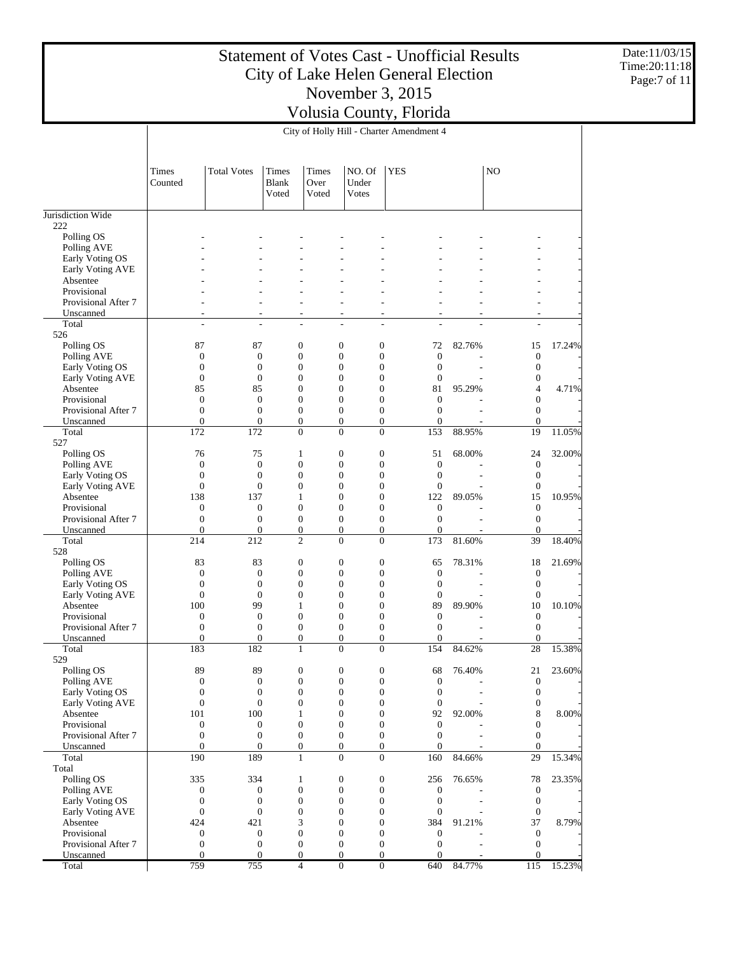Date:11/03/15 Time:20:11:18 Page:7 of 11

|                                     |                                      |                                  |                                    |                               | City of Holly Hill - Charter Amendment 4 |                                  |                                      |        |                                      |        |
|-------------------------------------|--------------------------------------|----------------------------------|------------------------------------|-------------------------------|------------------------------------------|----------------------------------|--------------------------------------|--------|--------------------------------------|--------|
|                                     | Times<br>Counted                     | <b>Total Votes</b>               | Times<br>Blank<br>Voted            | <b>Times</b><br>Over<br>Voted | NO. Of<br>Under<br>Votes                 | <b>YES</b>                       |                                      |        | N <sub>O</sub>                       |        |
| Jurisdiction Wide                   |                                      |                                  |                                    |                               |                                          |                                  |                                      |        |                                      |        |
| 222                                 |                                      |                                  |                                    |                               |                                          |                                  |                                      |        |                                      |        |
| Polling OS<br>Polling AVE           |                                      |                                  |                                    |                               |                                          |                                  |                                      |        |                                      |        |
| Early Voting OS                     |                                      |                                  |                                    |                               |                                          |                                  |                                      |        |                                      |        |
| Early Voting AVE                    |                                      |                                  |                                    |                               |                                          |                                  |                                      |        |                                      |        |
| Absentee                            |                                      |                                  |                                    |                               |                                          |                                  |                                      |        |                                      |        |
| Provisional                         |                                      |                                  |                                    |                               |                                          |                                  |                                      |        |                                      |        |
| Provisional After 7                 |                                      |                                  |                                    | ÷                             |                                          |                                  |                                      |        | ۰                                    |        |
| Unscanned<br>Total                  | ٠<br>÷                               | ÷                                |                                    | ٠<br>÷,                       | ä,<br>L.                                 | ٠<br>÷,                          | L.                                   |        | ٠<br>L.                              |        |
| 526                                 |                                      |                                  |                                    |                               |                                          |                                  |                                      |        |                                      |        |
| Polling OS                          | 87                                   | 87                               | 0                                  |                               | $\boldsymbol{0}$                         | $\boldsymbol{0}$                 | 72                                   | 82.76% | 15                                   | 17.24% |
| Polling AVE                         | $\boldsymbol{0}$                     | $\boldsymbol{0}$                 | $\boldsymbol{0}$                   |                               | $\boldsymbol{0}$                         | $\mathbf{0}$                     | $\boldsymbol{0}$                     |        | $\boldsymbol{0}$                     |        |
| Early Voting OS                     | $\boldsymbol{0}$                     | $\mathbf{0}$                     | $\boldsymbol{0}$                   |                               | $\boldsymbol{0}$                         | $\mathbf{0}$                     | $\boldsymbol{0}$                     |        | $\mathbf{0}$                         |        |
| Early Voting AVE                    | $\boldsymbol{0}$                     | $\boldsymbol{0}$                 | 0                                  |                               | $\boldsymbol{0}$                         | $\mathbf{0}$                     | $\boldsymbol{0}$                     |        | $\boldsymbol{0}$                     |        |
| Absentee                            | 85                                   | 85                               | $\overline{0}$                     |                               | $\boldsymbol{0}$                         | $\mathbf{0}$                     | 81                                   | 95.29% | $\overline{4}$                       | 4.71%  |
| Provisional<br>Provisional After 7  | $\boldsymbol{0}$<br>$\boldsymbol{0}$ | $\boldsymbol{0}$<br>$\mathbf{0}$ | $\overline{0}$<br>$\boldsymbol{0}$ |                               | $\boldsymbol{0}$<br>$\boldsymbol{0}$     | $\mathbf{0}$<br>$\boldsymbol{0}$ | $\boldsymbol{0}$<br>$\boldsymbol{0}$ |        | $\boldsymbol{0}$<br>$\boldsymbol{0}$ |        |
| Unscanned                           | $\mathbf{0}$                         | $\mathbf{0}$                     | $\overline{0}$                     |                               | $\mathbf{0}$                             | $\boldsymbol{0}$                 | $\boldsymbol{0}$                     |        | $\mathbf{0}$                         |        |
| Total                               | 172                                  | 172                              | $\overline{0}$                     |                               | $\mathbf{0}$                             | $\boldsymbol{0}$                 | 153                                  | 88.95% | 19                                   | 11.05% |
| 527                                 |                                      |                                  |                                    |                               |                                          |                                  |                                      |        |                                      |        |
| Polling OS                          | 76                                   | 75                               | $\mathbf{1}$                       |                               | $\boldsymbol{0}$                         | $\mathbf{0}$                     | 51                                   | 68.00% | 24                                   | 32.00% |
| Polling AVE                         | $\mathbf{0}$                         | $\boldsymbol{0}$                 | $\boldsymbol{0}$                   |                               | $\boldsymbol{0}$                         | $\mathbf{0}$                     | $\boldsymbol{0}$                     |        | $\mathbf{0}$                         |        |
| Early Voting OS                     | $\boldsymbol{0}$                     | $\mathbf{0}$                     | $\boldsymbol{0}$                   |                               | $\boldsymbol{0}$                         | $\mathbf{0}$                     | $\boldsymbol{0}$                     |        | $\mathbf{0}$                         |        |
| Early Voting AVE                    | $\boldsymbol{0}$<br>138              | $\boldsymbol{0}$<br>137          | $\boldsymbol{0}$                   |                               | $\boldsymbol{0}$<br>$\boldsymbol{0}$     | $\mathbf{0}$<br>$\mathbf{0}$     | $\boldsymbol{0}$<br>122              |        | $\boldsymbol{0}$<br>15               | 10.95% |
| Absentee<br>Provisional             | $\boldsymbol{0}$                     | $\boldsymbol{0}$                 | 1<br>$\boldsymbol{0}$              |                               | $\boldsymbol{0}$                         | $\mathbf{0}$                     | $\boldsymbol{0}$                     | 89.05% | $\mathbf{0}$                         |        |
| Provisional After 7                 | $\boldsymbol{0}$                     | $\mathbf{0}$                     | $\boldsymbol{0}$                   |                               | $\boldsymbol{0}$                         | $\boldsymbol{0}$                 | $\boldsymbol{0}$                     |        | $\mathbf{0}$                         |        |
| Unscanned                           | $\mathbf{0}$                         | $\mathbf{0}$                     | $\boldsymbol{0}$                   |                               | $\boldsymbol{0}$                         | $\boldsymbol{0}$                 | $\mathbf{0}$                         |        | $\mathbf{0}$                         |        |
| Total                               | 214                                  | 212                              | $\overline{c}$                     |                               | $\mathbf{0}$                             | $\mathbf{0}$                     | 173                                  | 81.60% | 39                                   | 18.40% |
| 528                                 |                                      |                                  |                                    |                               |                                          |                                  |                                      |        |                                      |        |
| Polling OS                          | 83                                   | 83                               | $\boldsymbol{0}$                   |                               | $\boldsymbol{0}$                         | $\mathbf{0}$                     | 65                                   | 78.31% | 18                                   | 21.69% |
| Polling AVE                         | $\boldsymbol{0}$                     | $\boldsymbol{0}$                 | $\boldsymbol{0}$                   |                               | $\boldsymbol{0}$                         | $\mathbf{0}$                     | $\boldsymbol{0}$                     |        | $\mathbf{0}$                         |        |
| Early Voting OS<br>Early Voting AVE | $\boldsymbol{0}$<br>$\boldsymbol{0}$ | $\mathbf{0}$<br>$\mathbf{0}$     | $\boldsymbol{0}$<br>0              |                               | $\boldsymbol{0}$<br>$\boldsymbol{0}$     | $\mathbf{0}$<br>$\mathbf{0}$     | $\boldsymbol{0}$<br>$\boldsymbol{0}$ |        | $\mathbf{0}$<br>$\boldsymbol{0}$     |        |
| Absentee                            | 100                                  | 99                               | 1                                  |                               | $\boldsymbol{0}$                         | $\mathbf{0}$                     | 89                                   | 89.90% | 10                                   | 10.10% |
| Provisional                         | $\boldsymbol{0}$                     | $\boldsymbol{0}$                 | $\boldsymbol{0}$                   |                               | $\boldsymbol{0}$                         | $\mathbf{0}$                     | $\boldsymbol{0}$                     |        | $\mathbf{0}$                         |        |
| Provisional After 7                 | $\boldsymbol{0}$                     | $\mathbf{0}$                     | $\boldsymbol{0}$                   |                               | $\boldsymbol{0}$                         | $\boldsymbol{0}$                 | $\boldsymbol{0}$                     |        | $\mathbf{0}$                         |        |
| Unscanned                           | $\overline{0}$                       | $\mathbf{0}$                     | $\overline{0}$                     |                               | $\overline{0}$                           | $\boldsymbol{0}$                 | $\mathbf{0}$                         |        | $\overline{0}$                       |        |
| Total                               | 183                                  | 182                              | 1                                  |                               | $\mathbf{0}$                             | $\overline{0}$                   | 154                                  | 84.62% | 28                                   | 15.38% |
| 529                                 |                                      |                                  |                                    |                               |                                          |                                  |                                      |        |                                      |        |
| Polling OS<br>Polling AVE           | 89<br>$\boldsymbol{0}$               | 89<br>$\boldsymbol{0}$           | 0<br>$\boldsymbol{0}$              |                               | 0<br>$\boldsymbol{0}$                    | 0<br>$\boldsymbol{0}$            | 68<br>$\boldsymbol{0}$               | 76.40% | 21<br>$\boldsymbol{0}$               | 23.60% |
| Early Voting OS                     | $\mathbf{0}$                         | $\mathbf{0}$                     | $\boldsymbol{0}$                   |                               | $\boldsymbol{0}$                         | $\boldsymbol{0}$                 | $\boldsymbol{0}$                     |        | $\boldsymbol{0}$                     |        |
| Early Voting AVE                    | $\boldsymbol{0}$                     | $\boldsymbol{0}$                 | $\boldsymbol{0}$                   |                               | $\boldsymbol{0}$                         | $\boldsymbol{0}$                 | $\boldsymbol{0}$                     |        | $\boldsymbol{0}$                     |        |
| Absentee                            | 101                                  | 100                              | 1                                  |                               | $\boldsymbol{0}$                         | $\boldsymbol{0}$                 | 92                                   | 92.00% | 8                                    | 8.00%  |
| Provisional                         | $\boldsymbol{0}$                     | $\mathbf{0}$                     | $\boldsymbol{0}$                   |                               | $\boldsymbol{0}$                         | $\boldsymbol{0}$                 | $\boldsymbol{0}$                     |        | $\boldsymbol{0}$                     |        |
| Provisional After 7                 | $\mathbf{0}$                         | $\boldsymbol{0}$                 | $\boldsymbol{0}$                   |                               | $\boldsymbol{0}$                         | $\boldsymbol{0}$                 | $\boldsymbol{0}$                     |        | $\mathbf{0}$                         |        |
| Unscanned                           | $\mathbf{0}$                         | $\mathbf{0}$                     | $\boldsymbol{0}$                   |                               | $\boldsymbol{0}$                         | $\boldsymbol{0}$                 | $\mathbf{0}$                         |        | $\theta$                             |        |
| Total<br>Total                      | 190                                  | 189                              | $\mathbf{1}$                       |                               | $\boldsymbol{0}$                         | $\boldsymbol{0}$                 | 160                                  | 84.66% | 29                                   | 15.34% |
| Polling OS                          | 335                                  | 334                              | $\mathbf{1}$                       |                               | $\boldsymbol{0}$                         | $\boldsymbol{0}$                 | 256                                  | 76.65% | 78                                   | 23.35% |
| Polling AVE                         | $\boldsymbol{0}$                     | $\boldsymbol{0}$                 | $\boldsymbol{0}$                   |                               | $\boldsymbol{0}$                         | $\boldsymbol{0}$                 | $\boldsymbol{0}$                     |        | $\boldsymbol{0}$                     |        |
| Early Voting OS                     | $\mathbf{0}$                         | $\boldsymbol{0}$                 | $\boldsymbol{0}$                   |                               | $\boldsymbol{0}$                         | $\boldsymbol{0}$                 | $\boldsymbol{0}$                     |        | $\boldsymbol{0}$                     |        |
| Early Voting AVE                    | $\boldsymbol{0}$                     | $\boldsymbol{0}$                 | $\boldsymbol{0}$                   |                               | $\boldsymbol{0}$                         | $\boldsymbol{0}$                 | $\boldsymbol{0}$                     |        | $\boldsymbol{0}$                     |        |
| Absentee                            | 424                                  | 421                              | 3                                  |                               | $\boldsymbol{0}$                         | $\boldsymbol{0}$                 | 384                                  | 91.21% | 37                                   | 8.79%  |
| Provisional                         | $\boldsymbol{0}$                     | $\mathbf{0}$                     | $\boldsymbol{0}$                   |                               | $\boldsymbol{0}$                         | $\boldsymbol{0}$                 | $\boldsymbol{0}$                     |        | $\boldsymbol{0}$                     |        |
| Provisional After 7                 | $\boldsymbol{0}$                     | $\boldsymbol{0}$                 | $\boldsymbol{0}$                   |                               | $\boldsymbol{0}$                         | $\boldsymbol{0}$                 | $\boldsymbol{0}$                     |        | $\boldsymbol{0}$                     |        |
| Unscanned                           | $\Omega$                             | $\mathbf{0}$                     | $\overline{0}$<br>$\overline{4}$   |                               | $\mathbf{0}$<br>$\overline{0}$           | $\boldsymbol{0}$                 | $\mathbf{0}$                         |        | $\mathbf{0}$                         |        |
| Total                               | 759                                  | 755                              |                                    |                               |                                          | $\boldsymbol{0}$                 | 640                                  | 84.77% | 115                                  | 15.23% |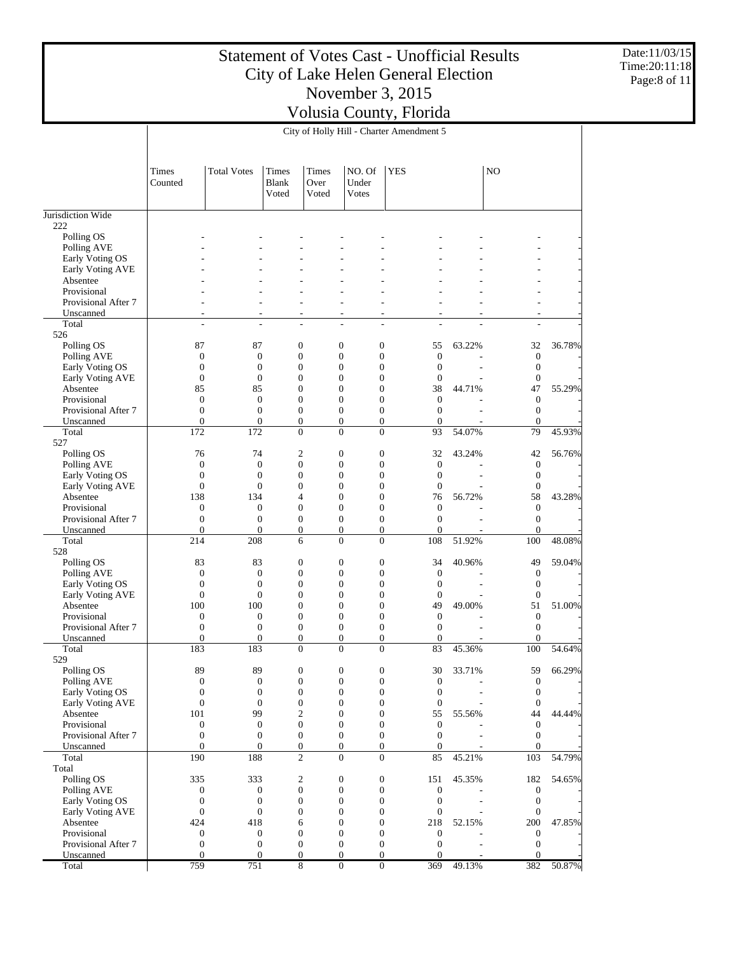Date:11/03/15 Time:20:11:18 Page:8 of 11

|                                     |                                      |                                      |                                      |                                      |                                                                          | City of Holly Hill - Charter Amendment 5 |                                      |                                      |        |
|-------------------------------------|--------------------------------------|--------------------------------------|--------------------------------------|--------------------------------------|--------------------------------------------------------------------------|------------------------------------------|--------------------------------------|--------------------------------------|--------|
|                                     | Times<br>Counted                     | <b>Total Votes</b>                   | Times<br><b>Blank</b><br>Voted       | <b>Times</b><br>Over<br>Voted        | NO. Of<br>Under<br>Votes                                                 | <b>YES</b>                               |                                      | N <sub>O</sub>                       |        |
| Jurisdiction Wide                   |                                      |                                      |                                      |                                      |                                                                          |                                          |                                      |                                      |        |
| 222                                 |                                      |                                      |                                      |                                      |                                                                          |                                          |                                      |                                      |        |
| Polling OS<br>Polling AVE           |                                      |                                      |                                      |                                      |                                                                          |                                          |                                      |                                      |        |
| Early Voting OS                     |                                      |                                      |                                      |                                      |                                                                          |                                          |                                      |                                      |        |
| Early Voting AVE                    |                                      |                                      |                                      |                                      |                                                                          |                                          |                                      |                                      |        |
| Absentee                            |                                      |                                      |                                      |                                      |                                                                          |                                          |                                      |                                      |        |
| Provisional                         |                                      |                                      |                                      |                                      |                                                                          |                                          |                                      |                                      |        |
| Provisional After 7                 |                                      |                                      |                                      |                                      |                                                                          |                                          |                                      |                                      |        |
| Unscanned<br>Total                  | ٠<br>÷                               | ÷                                    |                                      | ٠<br>÷,                              | ä,<br>L.                                                                 | ٠<br>÷,                                  | L.                                   | ٠<br>L.                              |        |
| 526                                 |                                      |                                      |                                      |                                      |                                                                          |                                          |                                      |                                      |        |
| Polling OS                          | 87                                   | 87                                   | 0                                    |                                      | $\boldsymbol{0}$<br>$\boldsymbol{0}$                                     |                                          | 55<br>63.22%                         | 32                                   | 36.78% |
| Polling AVE                         | $\boldsymbol{0}$                     | $\boldsymbol{0}$                     | $\boldsymbol{0}$                     |                                      | $\boldsymbol{0}$<br>$\mathbf{0}$                                         |                                          | $\boldsymbol{0}$                     | $\mathbf{0}$                         |        |
| Early Voting OS                     | $\boldsymbol{0}$                     | $\mathbf{0}$                         | $\boldsymbol{0}$                     |                                      | $\boldsymbol{0}$<br>$\mathbf{0}$                                         |                                          | $\boldsymbol{0}$                     | $\mathbf{0}$                         |        |
| Early Voting AVE                    | $\boldsymbol{0}$                     | $\boldsymbol{0}$                     | 0                                    |                                      | $\boldsymbol{0}$<br>$\mathbf{0}$                                         |                                          | $\boldsymbol{0}$                     | $\boldsymbol{0}$                     |        |
| Absentee                            | 85                                   | 85                                   | $\overline{0}$<br>$\overline{0}$     |                                      | $\boldsymbol{0}$<br>$\mathbf{0}$                                         |                                          | 38<br>44.71%                         | 47                                   | 55.29% |
| Provisional<br>Provisional After 7  | $\boldsymbol{0}$<br>$\boldsymbol{0}$ | $\boldsymbol{0}$<br>$\mathbf{0}$     |                                      | $\boldsymbol{0}$                     | $\boldsymbol{0}$<br>$\mathbf{0}$<br>$\boldsymbol{0}$<br>$\boldsymbol{0}$ |                                          | $\boldsymbol{0}$<br>$\boldsymbol{0}$ | $\mathbf{0}$<br>$\mathbf{0}$         |        |
| Unscanned                           | $\overline{0}$                       | $\mathbf{0}$                         | $\overline{0}$                       |                                      | $\mathbf{0}$<br>$\boldsymbol{0}$                                         |                                          | $\boldsymbol{0}$                     | $\mathbf{0}$                         |        |
| Total                               | 172                                  | 172                                  |                                      | $\overline{0}$                       | $\mathbf{0}$                                                             | $\boldsymbol{0}$                         | 54.07%<br>93                         | 79                                   | 45.93% |
| 527                                 |                                      |                                      |                                      |                                      |                                                                          |                                          |                                      |                                      |        |
| Polling OS                          | 76                                   | 74                                   | $\mathfrak{2}$                       |                                      | $\boldsymbol{0}$<br>$\mathbf{0}$                                         |                                          | 32<br>43.24%                         | 42                                   | 56.76% |
| Polling AVE                         | $\mathbf{0}$                         | $\boldsymbol{0}$                     | $\boldsymbol{0}$                     |                                      | $\boldsymbol{0}$<br>$\mathbf{0}$                                         |                                          | $\boldsymbol{0}$                     | $\mathbf{0}$                         |        |
| Early Voting OS<br>Early Voting AVE | $\boldsymbol{0}$<br>$\boldsymbol{0}$ | $\mathbf{0}$<br>$\mathbf{0}$         | $\boldsymbol{0}$<br>$\overline{0}$   |                                      | $\boldsymbol{0}$<br>$\mathbf{0}$<br>$\boldsymbol{0}$<br>$\mathbf{0}$     |                                          | $\boldsymbol{0}$<br>$\boldsymbol{0}$ | $\mathbf{0}$<br>$\mathbf{0}$         |        |
| Absentee                            | 138                                  | 134                                  | 4                                    |                                      | $\boldsymbol{0}$<br>$\mathbf{0}$                                         |                                          | 76<br>56.72%                         | 58                                   | 43.28% |
| Provisional                         | $\boldsymbol{0}$                     | $\boldsymbol{0}$                     | $\boldsymbol{0}$                     |                                      | $\boldsymbol{0}$<br>$\mathbf{0}$                                         |                                          | $\boldsymbol{0}$                     | $\mathbf{0}$                         |        |
| Provisional After 7                 | $\boldsymbol{0}$                     | $\mathbf{0}$                         |                                      | $\boldsymbol{0}$                     | $\boldsymbol{0}$<br>$\boldsymbol{0}$                                     |                                          | $\boldsymbol{0}$                     | $\mathbf{0}$                         |        |
| Unscanned                           | $\mathbf{0}$                         | $\mathbf{0}$                         |                                      | $\overline{0}$                       | $\boldsymbol{0}$<br>$\boldsymbol{0}$                                     |                                          | $\mathbf{0}$                         | $\overline{0}$                       |        |
| Total                               | 214                                  | 208                                  | 6                                    |                                      | $\mathbf{0}$<br>$\mathbf{0}$                                             | 108                                      | 51.92%                               | 100                                  | 48.08% |
| 528                                 |                                      |                                      |                                      |                                      |                                                                          |                                          |                                      |                                      |        |
| Polling OS<br>Polling AVE           | 83<br>$\boldsymbol{0}$               | 83<br>$\boldsymbol{0}$               | $\boldsymbol{0}$<br>$\boldsymbol{0}$ |                                      | $\boldsymbol{0}$<br>$\mathbf{0}$<br>$\boldsymbol{0}$<br>$\mathbf{0}$     |                                          | 34<br>40.96%<br>$\boldsymbol{0}$     | 49<br>$\mathbf{0}$                   | 59.04% |
| Early Voting OS                     | $\boldsymbol{0}$                     | $\mathbf{0}$                         | $\boldsymbol{0}$                     |                                      | $\boldsymbol{0}$<br>$\mathbf{0}$                                         |                                          | $\boldsymbol{0}$                     | $\mathbf{0}$                         |        |
| Early Voting AVE                    | $\boldsymbol{0}$                     | $\boldsymbol{0}$                     | 0                                    |                                      | $\boldsymbol{0}$<br>$\mathbf{0}$                                         |                                          | $\boldsymbol{0}$                     | $\boldsymbol{0}$                     |        |
| Absentee                            | 100                                  | 100                                  | $\overline{0}$                       |                                      | $\boldsymbol{0}$<br>$\mathbf{0}$                                         |                                          | 49<br>49.00%                         | 51                                   | 51.00% |
| Provisional                         | $\boldsymbol{0}$                     | $\boldsymbol{0}$                     | $\overline{0}$                       |                                      | $\boldsymbol{0}$<br>$\mathbf{0}$                                         |                                          | $\boldsymbol{0}$                     | $\mathbf{0}$                         |        |
| Provisional After 7                 | $\boldsymbol{0}$                     | $\mathbf{0}$                         | $\boldsymbol{0}$                     |                                      | $\boldsymbol{0}$<br>$\boldsymbol{0}$                                     |                                          | $\boldsymbol{0}$                     | $\mathbf{0}$                         |        |
| Unscanned                           | $\overline{0}$                       | $\mathbf{0}$                         | $\overline{0}$                       |                                      | $\overline{0}$<br>$\boldsymbol{0}$<br>$\overline{0}$                     |                                          | $\mathbf{0}$<br>83                   | $\theta$                             |        |
| Total<br>529                        | 183                                  | 183                                  | $\overline{0}$                       |                                      | $\mathbf{0}$                                                             |                                          | 45.36%                               | 100                                  | 54.64% |
| Polling OS                          | 89                                   | 89                                   |                                      | 0                                    | 0<br>0                                                                   |                                          | 30<br>33.71%                         | 59                                   | 66.29% |
| Polling AVE                         | $\boldsymbol{0}$                     | $\boldsymbol{0}$                     |                                      | $\boldsymbol{0}$                     | $\boldsymbol{0}$<br>$\boldsymbol{0}$                                     |                                          | $\boldsymbol{0}$                     | $\boldsymbol{0}$                     |        |
| Early Voting OS                     | $\boldsymbol{0}$                     | $\boldsymbol{0}$                     |                                      | $\boldsymbol{0}$                     | $\boldsymbol{0}$<br>$\boldsymbol{0}$                                     |                                          | $\boldsymbol{0}$                     | $\boldsymbol{0}$                     |        |
| Early Voting AVE                    | $\boldsymbol{0}$                     | $\boldsymbol{0}$                     |                                      | $\boldsymbol{0}$                     | $\boldsymbol{0}$<br>$\boldsymbol{0}$                                     |                                          | $\boldsymbol{0}$                     | $\boldsymbol{0}$                     |        |
| Absentee                            | 101                                  | 99                                   | $\mathfrak{2}$                       |                                      | $\boldsymbol{0}$<br>$\boldsymbol{0}$                                     |                                          | 55<br>55.56%                         | 44                                   | 44.44% |
| Provisional                         | $\boldsymbol{0}$                     | $\mathbf{0}$                         |                                      | $\boldsymbol{0}$                     | $\boldsymbol{0}$<br>$\boldsymbol{0}$                                     |                                          | $\boldsymbol{0}$                     | $\mathbf{0}$                         |        |
| Provisional After 7<br>Unscanned    | $\mathbf{0}$<br>$\mathbf{0}$         | $\boldsymbol{0}$<br>$\mathbf{0}$     | $\boldsymbol{0}$                     | $\boldsymbol{0}$                     | $\boldsymbol{0}$<br>$\boldsymbol{0}$                                     | $\boldsymbol{0}$<br>$\boldsymbol{0}$     | $\boldsymbol{0}$<br>$\mathbf{0}$     | $\mathbf{0}$<br>$\mathbf{0}$         |        |
| Total                               | 190                                  | 188                                  |                                      | $\overline{c}$                       | $\boldsymbol{0}$                                                         | $\boldsymbol{0}$                         | 45.21%<br>85                         | 103                                  | 54.79% |
| Total                               |                                      |                                      |                                      |                                      |                                                                          |                                          |                                      |                                      |        |
| Polling OS                          | 335                                  | 333                                  |                                      | $\overline{c}$                       | $\boldsymbol{0}$<br>$\boldsymbol{0}$                                     | 151                                      | 45.35%                               | 182                                  | 54.65% |
| Polling AVE                         | $\boldsymbol{0}$                     | $\boldsymbol{0}$                     |                                      | $\boldsymbol{0}$                     | $\boldsymbol{0}$                                                         | $\boldsymbol{0}$                         | $\boldsymbol{0}$                     | $\mathbf{0}$                         |        |
| Early Voting OS                     | $\mathbf{0}$                         | $\boldsymbol{0}$                     |                                      | $\boldsymbol{0}$                     | $\boldsymbol{0}$<br>$\boldsymbol{0}$                                     |                                          | $\boldsymbol{0}$                     | $\mathbf{0}$                         |        |
| Early Voting AVE                    | $\boldsymbol{0}$                     | $\boldsymbol{0}$                     |                                      | $\boldsymbol{0}$                     | $\boldsymbol{0}$<br>$\boldsymbol{0}$                                     |                                          | $\boldsymbol{0}$                     | $\boldsymbol{0}$                     |        |
| Absentee                            | 424                                  | 418                                  | 6                                    |                                      | $\boldsymbol{0}$<br>$\boldsymbol{0}$                                     | 218                                      | 52.15%                               | 200                                  | 47.85% |
| Provisional<br>Provisional After 7  | $\boldsymbol{0}$<br>$\boldsymbol{0}$ | $\boldsymbol{0}$<br>$\boldsymbol{0}$ |                                      | $\boldsymbol{0}$<br>$\boldsymbol{0}$ | $\boldsymbol{0}$<br>$\boldsymbol{0}$<br>$\boldsymbol{0}$                 | $\boldsymbol{0}$                         | $\boldsymbol{0}$<br>$\boldsymbol{0}$ | $\boldsymbol{0}$<br>$\boldsymbol{0}$ |        |
| Unscanned                           | $\Omega$                             | $\mathbf{0}$                         | $\mathbf{0}$                         |                                      | $\mathbf{0}$<br>$\boldsymbol{0}$                                         |                                          | $\mathbf{0}$                         | $\Omega$                             |        |
| Total                               | 759                                  | 751                                  |                                      | 8                                    | $\overline{0}$                                                           | $\boldsymbol{0}$<br>369                  | 49.13%                               | 382                                  | 50.87% |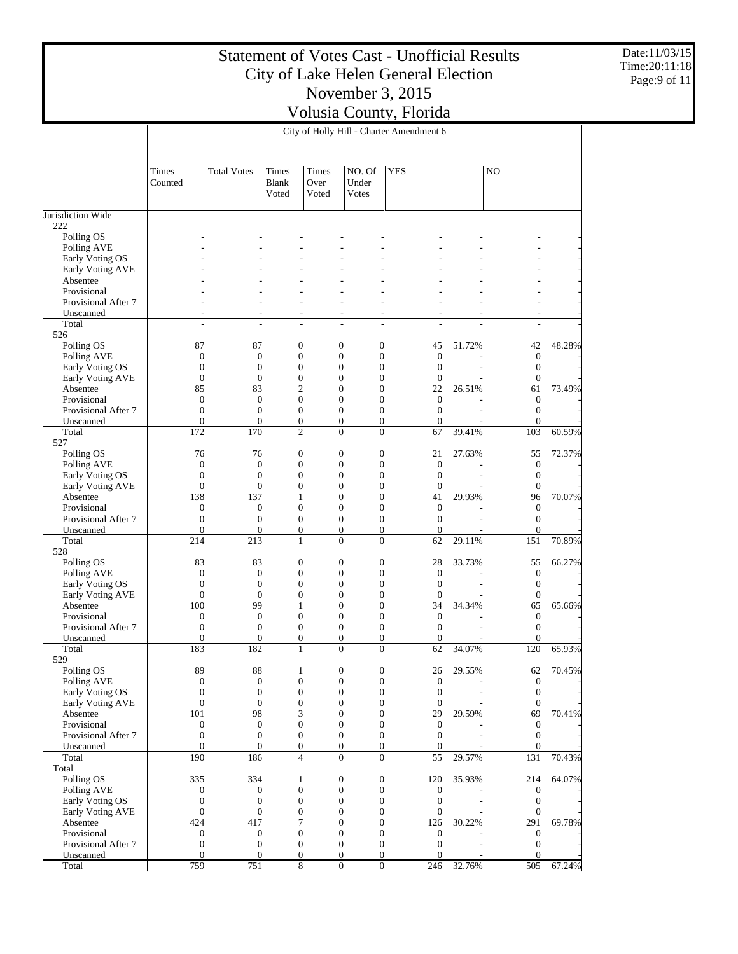Date:11/03/15 Time:20:11:18 Page:9 of 11

|                                     |                                      |                                  |                                      |                                  |                                                                          | City of Holly Hill - Charter Amendment 6   |                                      |                                |        |
|-------------------------------------|--------------------------------------|----------------------------------|--------------------------------------|----------------------------------|--------------------------------------------------------------------------|--------------------------------------------|--------------------------------------|--------------------------------|--------|
|                                     | Times<br>Counted                     | <b>Total Votes</b>               | Times<br><b>Blank</b><br>Voted       | <b>Times</b><br>Over<br>Voted    | NO. Of<br>Under<br>Votes                                                 | <b>YES</b>                                 |                                      | N <sub>O</sub>                 |        |
| Jurisdiction Wide                   |                                      |                                  |                                      |                                  |                                                                          |                                            |                                      |                                |        |
| 222                                 |                                      |                                  |                                      |                                  |                                                                          |                                            |                                      |                                |        |
| Polling OS                          |                                      |                                  |                                      |                                  |                                                                          |                                            |                                      |                                |        |
| Polling AVE<br>Early Voting OS      |                                      |                                  |                                      |                                  |                                                                          |                                            |                                      |                                |        |
| Early Voting AVE                    |                                      |                                  |                                      |                                  |                                                                          |                                            |                                      |                                |        |
| Absentee                            |                                      |                                  |                                      |                                  |                                                                          |                                            |                                      |                                |        |
| Provisional                         |                                      |                                  |                                      |                                  |                                                                          |                                            |                                      |                                |        |
| Provisional After 7                 |                                      |                                  |                                      | ÷                                |                                                                          |                                            |                                      |                                |        |
| Unscanned                           | ٠                                    |                                  |                                      | ٠                                | ä,                                                                       |                                            |                                      | ٠                              |        |
| Total<br>526                        | ÷                                    | ÷                                |                                      | ÷,                               | L.                                                                       | ÷,                                         | L.                                   | ÷                              |        |
| Polling OS                          | 87                                   | 87                               | 0                                    |                                  | $\mathbf{0}$<br>$\boldsymbol{0}$                                         | 45                                         | 51.72%                               | 42                             | 48.28% |
| Polling AVE                         | $\boldsymbol{0}$                     | $\boldsymbol{0}$                 | $\boldsymbol{0}$                     |                                  | $\boldsymbol{0}$<br>$\mathbf{0}$                                         |                                            | $\boldsymbol{0}$                     | $\mathbf{0}$                   |        |
| Early Voting OS                     | $\boldsymbol{0}$                     | $\mathbf{0}$                     | $\boldsymbol{0}$                     |                                  | $\boldsymbol{0}$<br>$\mathbf{0}$                                         |                                            | $\boldsymbol{0}$                     | $\boldsymbol{0}$               |        |
| Early Voting AVE                    | $\boldsymbol{0}$                     | $\boldsymbol{0}$                 | $\boldsymbol{0}$                     |                                  | $\boldsymbol{0}$<br>$\mathbf{0}$                                         |                                            | $\boldsymbol{0}$                     | $\boldsymbol{0}$               |        |
| Absentee                            | 85                                   | 83                               |                                      | 2                                | $\boldsymbol{0}$<br>$\mathbf{0}$                                         | 22                                         | 26.51%                               | 61                             | 73.49% |
| Provisional                         | $\boldsymbol{0}$                     | $\boldsymbol{0}$<br>$\mathbf{0}$ | $\overline{0}$                       |                                  | $\boldsymbol{0}$<br>$\mathbf{0}$                                         |                                            | $\boldsymbol{0}$                     | $\mathbf{0}$                   |        |
| Provisional After 7<br>Unscanned    | $\boldsymbol{0}$<br>$\overline{0}$   | $\mathbf{0}$                     | $\overline{0}$                       | $\boldsymbol{0}$                 | $\boldsymbol{0}$<br>$\boldsymbol{0}$<br>$\mathbf{0}$<br>$\boldsymbol{0}$ |                                            | $\boldsymbol{0}$<br>$\boldsymbol{0}$ | $\mathbf{0}$<br>$\overline{0}$ |        |
| Total                               | 172                                  | 170                              | $\overline{c}$                       |                                  | $\mathbf{0}$                                                             | $\boldsymbol{0}$<br>67                     | 39.41%                               | 103                            | 60.59% |
| 527                                 |                                      |                                  |                                      |                                  |                                                                          |                                            |                                      |                                |        |
| Polling OS                          | 76                                   | 76                               | $\boldsymbol{0}$                     |                                  | $\boldsymbol{0}$<br>$\mathbf{0}$                                         | 21                                         | 27.63%                               | 55                             | 72.37% |
| Polling AVE                         | $\mathbf{0}$                         | $\boldsymbol{0}$                 | $\boldsymbol{0}$                     |                                  | $\boldsymbol{0}$<br>$\boldsymbol{0}$                                     |                                            | $\boldsymbol{0}$                     | $\mathbf{0}$                   |        |
| Early Voting OS                     | $\boldsymbol{0}$                     | $\mathbf{0}$                     | $\boldsymbol{0}$                     |                                  | $\boldsymbol{0}$<br>$\mathbf{0}$                                         |                                            | $\boldsymbol{0}$                     | $\mathbf{0}$                   |        |
| Early Voting AVE                    | $\boldsymbol{0}$                     | $\boldsymbol{0}$                 | $\overline{0}$                       |                                  | $\boldsymbol{0}$<br>$\mathbf{0}$                                         |                                            | $\boldsymbol{0}$                     | $\mathbf{0}$                   |        |
| Absentee<br>Provisional             | 138<br>$\boldsymbol{0}$              | 137<br>$\boldsymbol{0}$          | 1<br>$\boldsymbol{0}$                |                                  | $\boldsymbol{0}$<br>$\mathbf{0}$<br>$\boldsymbol{0}$<br>$\mathbf{0}$     | 41                                         | 29.93%<br>$\boldsymbol{0}$           | 96<br>$\mathbf{0}$             | 70.07% |
| Provisional After 7                 | $\boldsymbol{0}$                     | $\mathbf{0}$                     | $\boldsymbol{0}$                     |                                  | $\boldsymbol{0}$<br>$\boldsymbol{0}$                                     |                                            | $\boldsymbol{0}$                     | $\mathbf{0}$                   |        |
| Unscanned                           | $\mathbf{0}$                         | $\mathbf{0}$                     | $\boldsymbol{0}$                     |                                  | $\boldsymbol{0}$<br>$\boldsymbol{0}$                                     |                                            | $\boldsymbol{0}$                     | $\overline{0}$                 |        |
| Total                               | 214                                  | 213                              |                                      | $\mathbf{1}$                     | $\mathbf{0}$<br>$\mathbf{0}$                                             | 62                                         | 29.11%                               | 151                            | 70.89% |
| 528                                 |                                      |                                  |                                      |                                  |                                                                          |                                            |                                      |                                |        |
| Polling OS                          | 83                                   | 83                               | $\boldsymbol{0}$                     |                                  | $\boldsymbol{0}$<br>$\mathbf{0}$                                         | 28                                         | 33.73%                               | 55                             | 66.27% |
| Polling AVE                         | $\boldsymbol{0}$<br>$\boldsymbol{0}$ | $\boldsymbol{0}$<br>$\mathbf{0}$ | $\boldsymbol{0}$<br>$\boldsymbol{0}$ |                                  | $\boldsymbol{0}$<br>$\mathbf{0}$<br>$\boldsymbol{0}$<br>$\mathbf{0}$     |                                            | $\boldsymbol{0}$<br>$\boldsymbol{0}$ | $\mathbf{0}$                   |        |
| Early Voting OS<br>Early Voting AVE | $\boldsymbol{0}$                     | $\mathbf{0}$                     | 0                                    |                                  | $\boldsymbol{0}$<br>$\mathbf{0}$                                         |                                            | $\boldsymbol{0}$                     | $\mathbf{0}$<br>$\mathbf{0}$   |        |
| Absentee                            | 100                                  | 99                               | 1                                    |                                  | $\boldsymbol{0}$<br>$\mathbf{0}$                                         | 34                                         | 34.34%                               | 65                             | 65.66% |
| Provisional                         | $\boldsymbol{0}$                     | $\boldsymbol{0}$                 | $\boldsymbol{0}$                     |                                  | $\boldsymbol{0}$<br>$\mathbf{0}$                                         |                                            | $\boldsymbol{0}$                     | $\mathbf{0}$                   |        |
| Provisional After 7                 | $\boldsymbol{0}$                     | $\mathbf{0}$                     | $\boldsymbol{0}$                     |                                  | $\boldsymbol{0}$<br>$\boldsymbol{0}$                                     |                                            | $\boldsymbol{0}$                     | $\mathbf{0}$                   |        |
| Unscanned                           | $\mathbf{0}$                         | $\mathbf{0}$                     | $\overline{0}$                       |                                  | $\overline{0}$<br>$\boldsymbol{0}$                                       |                                            | $\boldsymbol{0}$                     | $\theta$                       |        |
| Total                               | 183                                  | 182                              | 1                                    |                                  | $\overline{0}$<br>$\mathbf{0}$                                           | 62                                         | 34.07%                               | 120                            | 65.93% |
| 529                                 |                                      |                                  |                                      |                                  |                                                                          |                                            |                                      |                                |        |
| Polling OS<br>Polling AVE           | 89<br>$\boldsymbol{0}$               | 88<br>$\boldsymbol{0}$           | 1                                    | $\boldsymbol{0}$                 | 0<br>0<br>$\boldsymbol{0}$<br>$\boldsymbol{0}$                           | 26                                         | 29.55%<br>$\boldsymbol{0}$           | 62<br>$\boldsymbol{0}$         | 70.45% |
| Early Voting OS                     | $\boldsymbol{0}$                     | $\boldsymbol{0}$                 |                                      | $\boldsymbol{0}$                 | $\boldsymbol{0}$<br>$\boldsymbol{0}$                                     |                                            | $\boldsymbol{0}$                     | $\boldsymbol{0}$               |        |
| Early Voting AVE                    | $\boldsymbol{0}$                     | $\boldsymbol{0}$                 | $\boldsymbol{0}$                     |                                  | $\boldsymbol{0}$<br>$\boldsymbol{0}$                                     |                                            | $\boldsymbol{0}$                     | $\boldsymbol{0}$               |        |
| Absentee                            | 101                                  | 98                               |                                      | 3                                | $\boldsymbol{0}$<br>$\boldsymbol{0}$                                     | 29                                         | 29.59%                               | 69                             | 70.41% |
| Provisional                         | $\boldsymbol{0}$                     | $\boldsymbol{0}$                 |                                      | $\boldsymbol{0}$                 | $\boldsymbol{0}$<br>$\boldsymbol{0}$                                     |                                            | $\boldsymbol{0}$                     | $\boldsymbol{0}$               |        |
| Provisional After 7                 | $\mathbf{0}$                         | $\boldsymbol{0}$                 |                                      | $\boldsymbol{0}$                 | $\boldsymbol{0}$                                                         | $\boldsymbol{0}$                           | $\boldsymbol{0}$                     | $\mathbf{0}$                   |        |
| Unscanned<br>Total                  | $\mathbf{0}$<br>190                  | $\mathbf{0}$<br>186              |                                      | $\overline{0}$<br>$\overline{4}$ | $\boldsymbol{0}$<br>$\boldsymbol{0}$                                     | $\boldsymbol{0}$<br>$\boldsymbol{0}$<br>55 | $\mathbf{0}$<br>29.57%               | $\mathbf{0}$<br>131            | 70.43% |
| Total                               |                                      |                                  |                                      |                                  |                                                                          |                                            |                                      |                                |        |
| Polling OS                          | 335                                  | 334                              | $\mathbf{1}$                         |                                  | $\boldsymbol{0}$<br>$\boldsymbol{0}$                                     | 120                                        | 35.93%                               | 214                            | 64.07% |
| Polling AVE                         | $\boldsymbol{0}$                     | $\boldsymbol{0}$                 |                                      | $\boldsymbol{0}$                 | $\boldsymbol{0}$                                                         | $\boldsymbol{0}$                           | $\boldsymbol{0}$                     | $\mathbf{0}$                   |        |
| Early Voting OS                     | $\mathbf{0}$                         | $\boldsymbol{0}$                 |                                      | $\boldsymbol{0}$                 | $\boldsymbol{0}$<br>$\boldsymbol{0}$                                     |                                            | $\boldsymbol{0}$                     | $\mathbf{0}$                   |        |
| Early Voting AVE                    | $\boldsymbol{0}$                     | $\boldsymbol{0}$                 |                                      | $\boldsymbol{0}$                 | $\boldsymbol{0}$<br>$\boldsymbol{0}$                                     |                                            | $\boldsymbol{0}$                     | $\boldsymbol{0}$               |        |
| Absentee                            | 424                                  | 417                              |                                      | 7                                | $\boldsymbol{0}$<br>$\boldsymbol{0}$                                     | 126                                        | 30.22%                               | 291                            | 69.78% |
| Provisional                         | $\boldsymbol{0}$                     | $\mathbf{0}$                     |                                      | $\boldsymbol{0}$                 | $\boldsymbol{0}$<br>$\boldsymbol{0}$                                     |                                            | $\boldsymbol{0}$                     | $\boldsymbol{0}$               |        |
| Provisional After 7<br>Unscanned    | $\boldsymbol{0}$<br>$\Omega$         | $\boldsymbol{0}$<br>$\mathbf{0}$ | $\boldsymbol{0}$<br>$\mathbf{0}$     |                                  | $\boldsymbol{0}$<br>$\mathbf{0}$<br>$\boldsymbol{0}$                     | $\boldsymbol{0}$                           | $\boldsymbol{0}$<br>$\mathbf{0}$     | $\boldsymbol{0}$<br>$\Omega$   |        |
| Total                               | 759                                  | 751                              |                                      | 8                                | $\overline{0}$                                                           | $\boldsymbol{0}$<br>246                    | 32.76%                               | 505                            | 67.24% |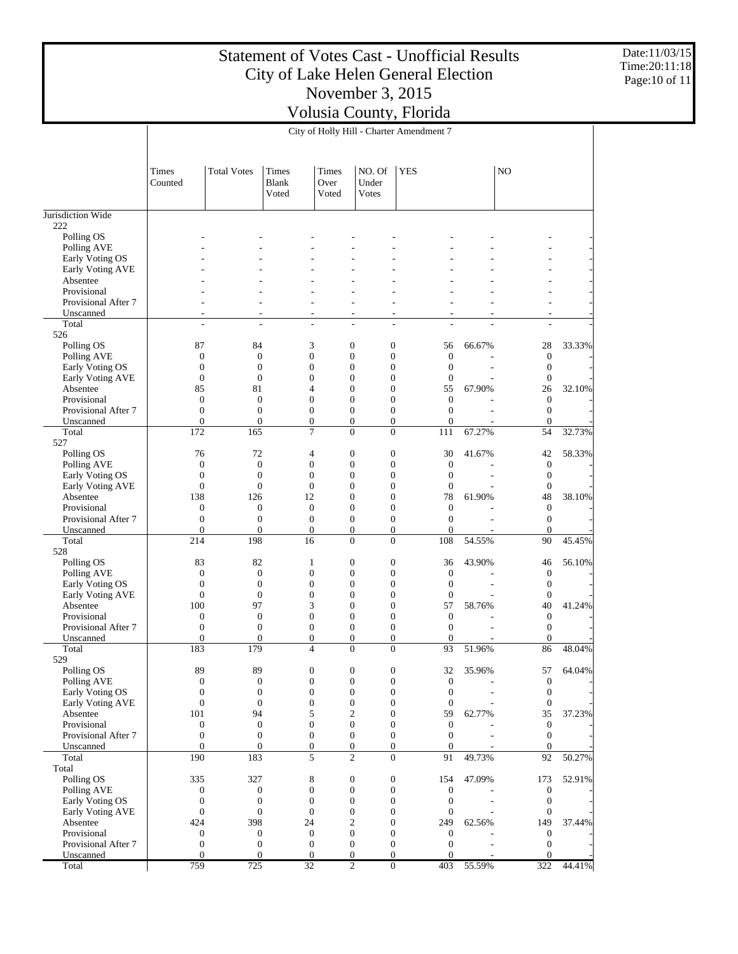Date:11/03/15 Time:20:11:18 Page:10 of 11

|                                     |                                  |                                    |                                      |                               |                                | City of Holly Hill - Charter Amendment 7 |                                  |                |                                |        |
|-------------------------------------|----------------------------------|------------------------------------|--------------------------------------|-------------------------------|--------------------------------|------------------------------------------|----------------------------------|----------------|--------------------------------|--------|
|                                     | Times<br>Counted                 | <b>Total Votes</b>                 | <b>Times</b><br>Blank<br>Voted       | <b>Times</b><br>Over<br>Voted | NO. Of<br>Under<br>Votes       | <b>YES</b>                               |                                  |                | N <sub>O</sub>                 |        |
| Jurisdiction Wide                   |                                  |                                    |                                      |                               |                                |                                          |                                  |                |                                |        |
| 222                                 |                                  |                                    |                                      |                               |                                |                                          |                                  |                |                                |        |
| Polling OS                          |                                  |                                    |                                      |                               |                                |                                          |                                  |                |                                |        |
| Polling AVE                         |                                  |                                    |                                      |                               |                                |                                          |                                  |                |                                |        |
| Early Voting OS<br>Early Voting AVE |                                  |                                    |                                      |                               |                                |                                          |                                  |                |                                |        |
| Absentee                            |                                  |                                    |                                      |                               |                                |                                          |                                  |                |                                |        |
| Provisional                         |                                  |                                    |                                      |                               |                                |                                          |                                  |                |                                |        |
| Provisional After 7                 |                                  |                                    |                                      |                               |                                |                                          |                                  |                | $\overline{a}$                 |        |
| Unscanned                           |                                  | ٠<br>۰                             | $\overline{a}$                       |                               | ٠                              | ÷,                                       |                                  |                | $\overline{a}$                 |        |
| Total                               |                                  | L.<br>÷                            | $\overline{a}$                       |                               | ÷,                             | $\overline{a}$                           |                                  |                | ÷                              |        |
| 526                                 |                                  |                                    |                                      |                               |                                |                                          |                                  |                |                                |        |
| Polling OS<br>Polling AVE           | 87<br>$\boldsymbol{0}$           | 84<br>$\boldsymbol{0}$             | 3<br>$\boldsymbol{0}$                |                               | $\mathbf{0}$<br>$\mathbf{0}$   | $\boldsymbol{0}$<br>$\boldsymbol{0}$     | 56<br>$\boldsymbol{0}$           | 66.67%         | 28<br>$\mathbf{0}$             | 33.33% |
| Early Voting OS                     | $\boldsymbol{0}$                 | $\boldsymbol{0}$                   | $\mathbf{0}$                         |                               | $\mathbf{0}$                   | $\boldsymbol{0}$                         | $\boldsymbol{0}$                 |                | $\boldsymbol{0}$               |        |
| Early Voting AVE                    | $\boldsymbol{0}$                 | $\boldsymbol{0}$                   | $\boldsymbol{0}$                     |                               | $\overline{0}$                 | $\boldsymbol{0}$                         | $\boldsymbol{0}$                 |                | $\boldsymbol{0}$               |        |
| Absentee                            | 85                               | 81                                 | $\overline{4}$                       |                               | $\mathbf{0}$                   | $\boldsymbol{0}$                         | 55                               | 67.90%         | 26                             | 32.10% |
| Provisional                         | $\boldsymbol{0}$                 | $\boldsymbol{0}$                   | $\boldsymbol{0}$                     |                               | $\overline{0}$                 | $\boldsymbol{0}$                         | $\boldsymbol{0}$                 |                | $\mathbf{0}$                   |        |
| Provisional After 7                 | $\boldsymbol{0}$                 | $\boldsymbol{0}$                   | $\boldsymbol{0}$                     |                               | $\mathbf{0}$                   | $\boldsymbol{0}$                         | $\boldsymbol{0}$                 |                | $\mathbf{0}$                   |        |
| Unscanned                           | $\mathbf{0}$                     | $\boldsymbol{0}$                   | $\boldsymbol{0}$                     |                               | $\mathbf{0}$                   | $\overline{0}$                           | $\boldsymbol{0}$                 |                | $\mathbf{0}$                   |        |
| Total                               | 172                              | 165                                | $\overline{7}$                       |                               | $\mathbf{0}$                   | $\overline{0}$                           | 111                              | 67.27%         | 54                             | 32.73% |
| 527<br>Polling OS                   | 76                               | 72                                 | 4                                    |                               | $\mathbf{0}$                   | $\boldsymbol{0}$                         | 30                               | 41.67%         | 42                             | 58.33% |
| Polling AVE                         | $\boldsymbol{0}$                 | $\boldsymbol{0}$                   | $\boldsymbol{0}$                     |                               | $\mathbf{0}$                   | $\boldsymbol{0}$                         | $\mathbf{0}$                     |                | $\mathbf{0}$                   |        |
| Early Voting OS                     | $\boldsymbol{0}$                 | $\boldsymbol{0}$                   | $\boldsymbol{0}$                     |                               | $\mathbf{0}$                   | $\boldsymbol{0}$                         | $\boldsymbol{0}$                 |                | $\mathbf{0}$                   |        |
| Early Voting AVE                    | $\boldsymbol{0}$                 | $\boldsymbol{0}$                   | $\boldsymbol{0}$                     |                               | $\overline{0}$                 | $\boldsymbol{0}$                         | $\boldsymbol{0}$                 |                | $\boldsymbol{0}$               |        |
| Absentee                            | 138                              | 126                                | 12                                   |                               | $\mathbf{0}$                   | $\boldsymbol{0}$                         | 78                               | 61.90%         | 48                             | 38.10% |
| Provisional                         | $\boldsymbol{0}$                 | $\boldsymbol{0}$                   | $\mathbf{0}$                         |                               | $\mathbf{0}$                   | $\boldsymbol{0}$                         | $\mathbf{0}$                     |                | $\mathbf{0}$                   |        |
| Provisional After 7                 | $\boldsymbol{0}$                 | $\boldsymbol{0}$                   | $\mathbf{0}$                         |                               | $\mathbf{0}$                   | $\boldsymbol{0}$                         | $\boldsymbol{0}$                 |                | $\mathbf{0}$                   |        |
| Unscanned<br>Total                  | $\mathbf{0}$<br>214              | $\overline{0}$<br>198              | $\mathbf{0}$<br>16                   |                               | $\mathbf{0}$<br>$\overline{0}$ | $\boldsymbol{0}$<br>$\overline{0}$       | $\overline{0}$<br>108            | 54.55%         | $\mathbf{0}$<br>90             | 45.45% |
| 528                                 |                                  |                                    |                                      |                               |                                |                                          |                                  |                |                                |        |
| Polling OS                          | 83                               | 82                                 | $\mathbf{1}$                         |                               | $\mathbf{0}$                   | $\boldsymbol{0}$                         | 36                               | 43.90%         | 46                             | 56.10% |
| Polling AVE                         | $\boldsymbol{0}$                 | $\boldsymbol{0}$                   | $\boldsymbol{0}$                     |                               | $\mathbf{0}$                   | $\boldsymbol{0}$                         | $\boldsymbol{0}$                 |                | $\mathbf{0}$                   |        |
| Early Voting OS                     | $\boldsymbol{0}$                 | $\boldsymbol{0}$                   | $\mathbf{0}$                         |                               | $\mathbf{0}$                   | $\boldsymbol{0}$                         | $\boldsymbol{0}$                 |                | $\boldsymbol{0}$               |        |
| Early Voting AVE                    | $\boldsymbol{0}$                 | $\boldsymbol{0}$                   | $\boldsymbol{0}$                     |                               | $\overline{0}$                 | $\boldsymbol{0}$                         | $\boldsymbol{0}$                 |                | $\boldsymbol{0}$               |        |
| Absentee                            | 100                              | 97                                 | 3                                    |                               | $\mathbf{0}$                   | $\boldsymbol{0}$                         | 57                               | 58.76%         | 40                             | 41.24% |
| Provisional                         | $\boldsymbol{0}$                 | $\mathbf{0}$                       | $\boldsymbol{0}$                     |                               | $\overline{0}$                 | $\boldsymbol{0}$                         | $\boldsymbol{0}$                 |                | $\mathbf{0}$                   |        |
| Provisional After 7<br>Unscanned    | $\boldsymbol{0}$<br>$\mathbf{0}$ | $\boldsymbol{0}$<br>$\overline{0}$ | $\boldsymbol{0}$<br>$\boldsymbol{0}$ |                               | $\mathbf{0}$<br>$\mathbf{0}$   | $\boldsymbol{0}$<br>$\boldsymbol{0}$     | $\boldsymbol{0}$<br>$\mathbf{0}$ |                | $\mathbf{0}$<br>$\overline{0}$ |        |
| Total                               | 183                              | 179                                | $\overline{4}$                       |                               | $\overline{0}$                 | $\overline{0}$                           | 93                               | 51.96%         | 86                             | 48.04% |
| 529                                 |                                  |                                    |                                      |                               |                                |                                          |                                  |                |                                |        |
| Polling OS                          | 89                               | 89                                 | $\boldsymbol{0}$                     |                               | $\boldsymbol{0}$               | 0                                        | 32                               | 35.96%         | 57                             | 64.04% |
| Polling AVE                         | $\boldsymbol{0}$                 | $\boldsymbol{0}$                   | $\boldsymbol{0}$                     |                               | $\boldsymbol{0}$               | $\boldsymbol{0}$                         | $\boldsymbol{0}$                 |                | $\boldsymbol{0}$               |        |
| Early Voting OS                     | $\boldsymbol{0}$                 | $\boldsymbol{0}$                   | $\boldsymbol{0}$                     |                               | $\mathbf{0}$                   | $\boldsymbol{0}$                         | $\boldsymbol{0}$                 |                | $\boldsymbol{0}$               |        |
| Early Voting AVE                    | $\boldsymbol{0}$                 | $\boldsymbol{0}$                   | $\boldsymbol{0}$                     |                               | $\mathbf{0}$                   | $\boldsymbol{0}$                         | $\boldsymbol{0}$                 |                | $\boldsymbol{0}$               |        |
| Absentee<br>Provisional             | 101<br>$\boldsymbol{0}$          | 94<br>$\boldsymbol{0}$             | 5<br>$\boldsymbol{0}$                |                               | $\sqrt{2}$<br>$\boldsymbol{0}$ | $\boldsymbol{0}$<br>$\boldsymbol{0}$     | 59<br>$\mathbf{0}$               | 62.77%         | 35<br>$\boldsymbol{0}$         | 37.23% |
| Provisional After 7                 | $\boldsymbol{0}$                 | $\boldsymbol{0}$                   | $\mathbf{0}$                         |                               | $\boldsymbol{0}$               | $\boldsymbol{0}$                         | $\boldsymbol{0}$                 | $\overline{a}$ | $\mathbf{0}$                   |        |
| Unscanned                           | $\mathbf{0}$                     | $\overline{0}$                     | $\boldsymbol{0}$                     |                               | $\boldsymbol{0}$               | $\boldsymbol{0}$                         | $\boldsymbol{0}$                 |                | $\theta$                       |        |
| Total                               | 190                              | 183                                | 5                                    |                               | $\mathfrak{2}$                 | $\boldsymbol{0}$                         | 91                               | 49.73%         | 92                             | 50.27% |
| Total                               |                                  |                                    |                                      |                               |                                |                                          |                                  |                |                                |        |
| Polling OS                          | 335                              | 327                                | $\,8\,$                              |                               | $\boldsymbol{0}$               | $\boldsymbol{0}$                         | 154                              | 47.09%         | 173                            | 52.91% |
| Polling AVE                         | $\boldsymbol{0}$                 | $\boldsymbol{0}$                   | $\boldsymbol{0}$                     |                               | $\boldsymbol{0}$               | $\boldsymbol{0}$                         | $\boldsymbol{0}$                 |                | $\boldsymbol{0}$               |        |
| Early Voting OS                     | $\boldsymbol{0}$                 | $\boldsymbol{0}$                   | $\boldsymbol{0}$                     |                               | $\boldsymbol{0}$               | $\boldsymbol{0}$                         | $\boldsymbol{0}$                 |                | $\boldsymbol{0}$               |        |
| Early Voting AVE<br>Absentee        | $\boldsymbol{0}$<br>424          | $\boldsymbol{0}$<br>398            | $\boldsymbol{0}$<br>24               |                               | $\boldsymbol{0}$<br>$\sqrt{2}$ | $\boldsymbol{0}$<br>$\boldsymbol{0}$     | $\boldsymbol{0}$<br>249          | 62.56%         | $\boldsymbol{0}$<br>149        | 37.44% |
| Provisional                         | $\boldsymbol{0}$                 | $\boldsymbol{0}$                   | $\boldsymbol{0}$                     |                               | $\boldsymbol{0}$               | $\boldsymbol{0}$                         | $\boldsymbol{0}$                 |                | $\boldsymbol{0}$               |        |
| Provisional After 7                 | $\boldsymbol{0}$                 | $\boldsymbol{0}$                   | $\boldsymbol{0}$                     |                               | $\boldsymbol{0}$               | $\boldsymbol{0}$                         | $\boldsymbol{0}$                 |                | $\boldsymbol{0}$               |        |
| Unscanned                           | $\mathbf{0}$                     | $\overline{0}$                     | $\overline{0}$                       |                               | $\boldsymbol{0}$               | $\overline{0}$                           | $\overline{0}$                   |                | $\Omega$                       |        |
| Total                               | 759                              | 725                                | $\overline{32}$                      |                               | $\mathfrak{2}$                 | $\overline{0}$                           | 403                              | 55.59%         | 322                            | 44.41% |